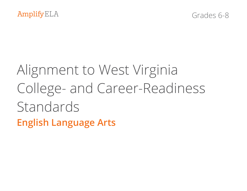# Alignment to West Virginia College- and Career-Readiness Standards **English Language Arts**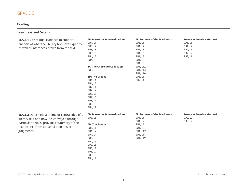#### **Reading**

| <b>Key Ideas and Details</b>                                                                                                                                                                                   |                                                                                                                                                                                                                                                                         |                                                                                                                                                                                   |                                                                                   |
|----------------------------------------------------------------------------------------------------------------------------------------------------------------------------------------------------------------|-------------------------------------------------------------------------------------------------------------------------------------------------------------------------------------------------------------------------------------------------------------------------|-----------------------------------------------------------------------------------------------------------------------------------------------------------------------------------|-----------------------------------------------------------------------------------|
| <b>ELA.6.1</b> Cite textual evidence to support<br>analysis of what the literary text says explicitly<br>as well as inferences drawn from the text.                                                            | 6B: Mysteries & Investigations<br>SU1, L1<br>SU3, L2<br>SU3, L3<br>SU3, L5<br>SU4, L2<br>SU4, L3<br><b>6C: The Chocolate Collection</b><br>SU3, L3<br>6D: The Greeks<br>SU1, L1<br>SU1, L2<br>SU2, L1<br>SU2, L2<br>SU2, L5<br>SU2, L6<br>SU3, L1<br>SU3, L3<br>SU4, L2 | <b>6E: Summer of the Mariposas</b><br>SU1, L1<br>SU1, L2<br>SU1, L3<br>SU1, L6<br>SU1, L7<br><b>SU1, L8</b><br>SU1, L9<br>SU1, L12<br>SU1, L13<br>SU1, L16<br>SU1, L17<br>SU2, L1 | Poetry in America: Grade 6<br>SU1, L1<br>SU1, L2<br>SU2, L1<br>SU2, L2<br>SU3, L1 |
| <b>ELA.6.2</b> Determine a theme or central idea of a<br>literary text and how it is conveyed through<br>particular details; provide a summary of the<br>text distinct from personal opinions or<br>judgments. | 6B: Mysteries & Investigations<br>SU3, L5<br>6D: The Greeks<br>SU1, L1<br>SU1, L2<br>SU1, L4<br>SU1, L5<br>SU2, L5<br>SU2, L6<br>SU3, L1<br>SU3, L2<br>SU3, L3<br>SU4, L1                                                                                               | <b>6E: Summer of the Mariposas</b><br>SU1, L1<br>SU1, L2<br>SU1, L7<br>SU1, L9<br>SU1, L17<br>SU1, L18<br>SU1, L19                                                                | Poetry in America: Grade 6<br>SU2, L2<br>SU3, L2                                  |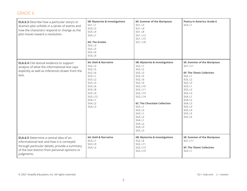| <b>ELA.6.3</b> Describe how a particular story's or<br>drama's plot unfolds in a series of events and<br>how the characters respond or change as the<br>plot moves toward a resolution.                     | 6B: Mysteries & Investigations<br>SU1, L1<br>SU3, L3<br>SU3, L4<br>SU4, L1<br>6D: The Greeks<br>SU2, L3<br>SU2, L5<br>SU2, L6<br>SU3, L4                             | <b>6E: Summer of the Mariposas</b><br>SU1, L3<br>SU1, L4<br><b>SU1, L8</b><br>SU1, L12<br>SU1, L13<br>SU1, L18                                                                                                                                                                             | <b>Poetry in America: Grade 6</b><br>SU3, L1                                                                                                                                                                                       |
|-------------------------------------------------------------------------------------------------------------------------------------------------------------------------------------------------------------|----------------------------------------------------------------------------------------------------------------------------------------------------------------------|--------------------------------------------------------------------------------------------------------------------------------------------------------------------------------------------------------------------------------------------------------------------------------------------|------------------------------------------------------------------------------------------------------------------------------------------------------------------------------------------------------------------------------------|
| <b>ELA.6.4</b> Cite textual evidence to support<br>analysis of what the informational text says<br>explicitly as well as inferences drawn from the<br>text.                                                 | 6A: Dahl & Narrative<br>SU2, L3<br>SU2, L5<br>SU2, L6<br>SU3, L1<br>SU3, L2<br>SU3, L3<br>SU3, L6<br>SU3, L8<br>SU3, L9<br>SU3, L12<br>SU4, L1<br>SU4, L2<br>SU4, L3 | <b>6B: Mysteries &amp; Investigations</b><br>SU2, L1<br>SU2, L2<br>SU2, L3<br>SU2, L5<br>SU2, L6<br>SU2, L9<br>SU2, L10<br>SU2, L11<br>SU2, L13<br>SU2, L14<br><b>6C: The Chocolate Collection</b><br>SU2, L1<br>SU2, L2<br>SU3, L1<br>SU3, L2<br>SU4, L1<br>SU4, L2<br>SU4, L3<br>SU5, L3 | <b>6E: Summer of the Mariposas</b><br>SU1, L11<br><b>6F: The Titanic Collection</b><br>SU2, L1<br>SU2, L2<br>SU2, L3<br>SU3, L1<br>SU3, L2<br>SU3, L3<br>SU4, L1<br>SU4, L2<br>SU4, L3<br>SU5, L3<br>SU5, L4<br>SU5, L5<br>SU5, L6 |
| <b>ELA.6.5</b> Determine a central idea of an<br>informational text and how it is conveyed<br>through particular details; provide a summary<br>of the text distinct from personal opinions or<br>judgments. | 6A: Dahl & Narrative<br>SU3, L1<br>SU3, L9<br>SU4, L2                                                                                                                | 6B: Mysteries & Investigations<br>SU2, L6<br>SU2, L11<br>SU2, L13<br>SU2, L14                                                                                                                                                                                                              | <b>6E: Summer of the Mariposas</b><br>SU1, L11<br><b>6F: The Titanic Collection</b><br>SU2, L1                                                                                                                                     |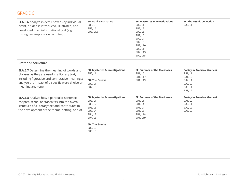| <b>ELA.6.6</b> Analyze in detail how a key individual,<br>event, or idea is introduced, illustrated, and<br>developed in an informational text (e.g.,<br>through examples or anecdotes).                                    | 6A: Dahl & Narrative<br>SU3, L3<br>SU3, L6<br>SU3, L12                                                                                          | 6B: Mysteries & Investigations<br>SU2, L1<br>SU2, L2<br>SU2, L5<br>SU2, L6<br>SU2, L7<br>SU2, L9<br>SU2, L10<br>SU2, L11<br>SU2, L13<br>SU2, L15 | 6F: The Titanic Collection<br>SU2, L1                                                               |
|-----------------------------------------------------------------------------------------------------------------------------------------------------------------------------------------------------------------------------|-------------------------------------------------------------------------------------------------------------------------------------------------|--------------------------------------------------------------------------------------------------------------------------------------------------|-----------------------------------------------------------------------------------------------------|
| <b>Craft and Structure</b>                                                                                                                                                                                                  |                                                                                                                                                 |                                                                                                                                                  |                                                                                                     |
| <b>ELA.6.7</b> Determine the meaning of words and<br>phrases as they are used in a literary text,<br>including figurative and connotative meanings;<br>analyze the impact of a specific word choice on<br>meaning and tone. | 6B: Mysteries & Investigations<br>SU3, L1<br>6D: The Greeks<br>SU2, L1<br>SU2, L3                                                               | <b>6E: Summer of the Mariposas</b><br>SU1, L6<br>SU1, L17<br>SU1, L19                                                                            | <b>Poetry in America: Grade 6</b><br>SU1, L1<br>SU1, L2<br>SU2, L1<br>SU2, L2<br>SU3, L1<br>SU3, L2 |
| <b>ELA.6.8</b> Analyze how a particular sentence,<br>chapter, scene, or stanza fits into the overall<br>structure of a literary text and contributes to<br>the development of the theme, setting, or plot.                  | 6B: Mysteries & Investigations<br>SU3, L1<br>SU3, L2<br>SU3, L3<br>SU3, L4<br>SU4, L2<br>SU4, L3<br><b>6D: The Greeks</b><br>SU2, L2<br>SU3, L3 | 6E: Summer of the Mariposas<br>SU1, L1<br>SU1, L4<br>SU1, L7<br><b>SU1, L8</b><br>SU1, L18<br>SU1, L19                                           | <b>Poetry in America: Grade 6</b><br>SU1, L2<br>SU2, L1<br>SU2, L2<br>SU3, L2                       |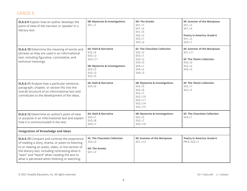| <b>ELA.6.9</b> Explain how an author develops the<br>point of view of the narrator or speaker in a<br>literary text.                                                                                                                                                                                            | 6B: Mysteries & Investigations<br>SU1, L1                                                                                 | <b>6D: The Greeks</b><br>SU1, L1<br>SU1, L3<br>SU1, L5<br>SU2, L3<br>SU3, L1<br>SU3, L2                          | <b>6E: Summer of the Mariposas</b><br>SU1, L2<br><b>SU1, L4</b><br><b>Poetry in America: Grade 6</b><br>SU1, L2<br>SU3, L1 |
|-----------------------------------------------------------------------------------------------------------------------------------------------------------------------------------------------------------------------------------------------------------------------------------------------------------------|---------------------------------------------------------------------------------------------------------------------------|------------------------------------------------------------------------------------------------------------------|----------------------------------------------------------------------------------------------------------------------------|
| <b>ELA.6.10</b> Determine the meaning of words and<br>phrases as they are used in an informational<br>text, including figurative, connotative, and<br>technical meanings.                                                                                                                                       | 6A: Dahl & Narrative<br>SU2, L6<br>SU3, L3<br>SU3, L11<br>6B: Mysteries & Investigations<br>SU2, L2<br>SU2, L3<br>SU2, L5 | <b>6C: The Chocolate Collection</b><br>SU2, L2<br>SU3, L1<br>SU3, L2<br>SU3, L3<br>SU4, L1<br>SU4, L2<br>SU4, L3 | <b>6E: Summer of the Mariposas</b><br>SU1, L11<br><b>6F: The Titanic Collection</b><br>SU2, L2<br>SU2, L3<br>SU4, L3       |
| <b>ELA.6.11</b> Analyze how a particular sentence,<br>paragraph, chapter, or section fits into the<br>overall structure of an informational text and<br>contributes to the development of the ideas.                                                                                                            | 6A: Dahl & Narrative<br>SU3, L6                                                                                           | 6B: Mysteries & Investigations<br>SU2, L5<br>SU2, L6<br>SU2, L7<br>SU2, L10<br>SU2, L11<br>SU2, L14<br>SU2, L15  | <b>6F: The Titanic Collection</b><br>SU2, L1<br>SU2, L2                                                                    |
| <b>ELA.6.12</b> Determine an author's point of view<br>or purpose in an informational text and explain<br>how it is communicated in the text.                                                                                                                                                                   | 6A: Dahl & Narrative<br>SU3, L1<br><b>SU3, L8</b><br>SU4, L1                                                              | 6B: Mysteries & Investigations<br>SU2, L5<br>SU2, L7<br>SU2, L10                                                 | <b>6C: The Chocolate Collection</b><br>SU3, L1                                                                             |
| <b>Integration of Knowledge and Ideas</b>                                                                                                                                                                                                                                                                       |                                                                                                                           |                                                                                                                  |                                                                                                                            |
| <b>ELA.6.13</b> Compare and contrast the experience<br>of reading a story, drama, or poem to listening<br>to or viewing an audio, video, or live version of<br>the literary text, including contrasting what is<br>"seen" and "heard" when reading the text to<br>what is perceived when listening or watching. | <b>6C: The Chocolate Collection</b><br>SU3, L3<br>6D: The Greeks<br>SU1, L3                                               | <b>6E: Summer of the Mariposas</b><br>SU1, L12                                                                   | Poetry in America: Grade 6<br>PIA 6, SU2, L1                                                                               |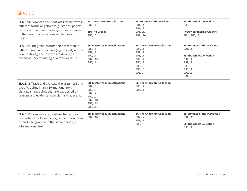| <b>ELA.6.14</b> Compare and contrast literary texts in<br>different forms or genres (e.g., stories, poems,<br>historical novels, and fantasy stories) in terms<br>of their approaches to similar themes and<br>topics. | <b>6C: The Chocolate Collection</b><br>SU2, L1<br><b>6D: The Greeks</b><br>SU3, L5                             | <b>6E: Summer of the Mariposas</b><br>SU1, L4<br>SU1, L9<br>SU1, L13<br>SU1, L16                                            | 6F: The Titanic Collection<br>SU2, L2<br><b>Poetry in America: Grade 6</b><br>PIA 6, SU3, L2                                                   |
|------------------------------------------------------------------------------------------------------------------------------------------------------------------------------------------------------------------------|----------------------------------------------------------------------------------------------------------------|-----------------------------------------------------------------------------------------------------------------------------|------------------------------------------------------------------------------------------------------------------------------------------------|
| <b>ELA.6.15</b> Integrate information presented in<br>different media or formats (e.g., visually and/or<br>quantitatively) and in words to develop a<br>coherent understanding of a topic or issue.                    | <b>6B: Mysteries &amp; Investigations</b><br>SU2, L1<br>SU2, L7<br>SU2, L11<br>SU2, L15<br>SU3, L1             | <b>6C: The Chocolate Collection</b><br>SU2, L1<br>SU2, L2<br>SU3, L1<br>SU3, L2<br>SU5, L1<br>SU5, L5<br>SU5, L6<br>SU5, L7 | <b>6E: Summer of the Mariposas</b><br>SU1, L11<br>6F: The Titanic Collection<br>SU2, L1<br>SU2, L2<br>SU2, L3<br>SU3, L1<br>SU3, L3<br>SU4, L2 |
| <b>ELA.6.16</b> Trace and evaluate the argument and<br>specific claims in an informational text,<br>distinguishing claims that are supported by<br>reasons and evidence from claims that are not.                      | 6B: Mysteries & Investigations<br>SU2, L3<br>SU2, L6<br>SU2, L7<br>SU2, L9<br>SU2, L10<br>SU2, L13<br>SU2, L14 | <b>6C: The Chocolate Collection</b><br>SU3, L2<br>SU4, L1                                                                   |                                                                                                                                                |
| <b>ELA.6.17</b> Compare and contrast two authors'<br>presentations of events (e.g., a memoir written<br>by and a biography on the same person) in<br>informational text.                                               | 6B: Mysteries & Investigations<br>SU2, L10                                                                     | <b>6C: The Chocolate Collection</b><br>SU2, L2<br>SU3, L1<br>SU3, L2                                                        | 6E: Summer of the Mariposas<br>SU1, L11<br>6F: The Titanic Collection<br>SU3, L1                                                               |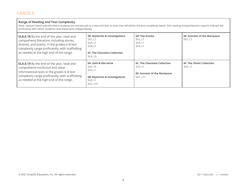#### **Range of Reading and Text Complexity**

Note: Lessons listed indicate where students are introduced to a new unit text or texts that fall within the text complexity band. Solo reading comprehension reports indicate the proficiency with which students read these texts independently.

| <b>ELA.6.18</b> By the end of the year, read and<br>comprehend literature, including stories,<br>dramas, and poetry, in the grades 6-8 text<br>complexity range proficiently, with scaffolding<br>as needed at the high end of the range. | 6B: Mysteries & Investigations<br>SU1, L1<br>SU3, L1<br>SU4, L1<br><b>6C: The Chocolate Collection</b><br>SU3, L3 | <b>6D: The Greeks</b><br>SU1, L1<br>SU2, L1<br>SU3, L1                                    | 6E: Summer of the Mariposas<br>SU1, L1       |
|-------------------------------------------------------------------------------------------------------------------------------------------------------------------------------------------------------------------------------------------|-------------------------------------------------------------------------------------------------------------------|-------------------------------------------------------------------------------------------|----------------------------------------------|
| <b>ELA.6.19</b> By the end of the year, read and<br>comprehend nonfiction and other<br>informational texts in the grades 6-8 text<br>complexity range proficiently, with scaffolding<br>as needed at the high end of the range.           | 6A: Dahl & Narrative<br>SU2, L5<br>SU3, L1<br>6B: Mysteries & Investigations<br>SU2, L1<br>SU2, L15               | <b>6C: The Chocolate Collection</b><br>SU2, L1<br>6E: Summer of the Mariposas<br>SU1, L11 | <b>6F: The Titanic Collection</b><br>SU2, L1 |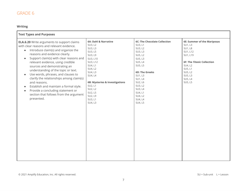#### **Writing**

| <b>Text Types and Purposes</b>                                                                                                                                                                                                                                                                                                                                                                                                                                                                                                                                                                                                          |                                                                                                                                                                                                                                          |                                                                                                                                                                                                                                       |                                                                                                                                                                                                |
|-----------------------------------------------------------------------------------------------------------------------------------------------------------------------------------------------------------------------------------------------------------------------------------------------------------------------------------------------------------------------------------------------------------------------------------------------------------------------------------------------------------------------------------------------------------------------------------------------------------------------------------------|------------------------------------------------------------------------------------------------------------------------------------------------------------------------------------------------------------------------------------------|---------------------------------------------------------------------------------------------------------------------------------------------------------------------------------------------------------------------------------------|------------------------------------------------------------------------------------------------------------------------------------------------------------------------------------------------|
| <b>ELA.6.20</b> Write arguments to support claims<br>with clear reasons and relevant evidence.<br>Introduce claim(s) and organize the<br>$\bullet$<br>reasons and evidence clearly.<br>Support claim(s) with clear reasons and<br>$\bullet$<br>relevant evidence, using credible<br>sources and demonstrating an<br>understanding of the topic or text.<br>Use words, phrases, and clauses to<br>$\bullet$<br>clarify the relationships among claim(s)<br>and reasons.<br>Establish and maintain a formal style.<br>$\bullet$<br>Provide a concluding statement or<br>$\bullet$<br>section that follows from the argument<br>presented. | 6A: Dahl & Narrative<br>SU3, L2<br>SU3, L3<br>SU3, L5<br>SU3, L9<br>SU3, L10<br>SU3, L12<br>SU4, L1<br>SU4, L2<br>SU4, L3<br>SU4, L4<br>6B: Mysteries & Investigations<br>SU2, L1<br>SU2, L2<br>SU2, L5<br>SU2, L9<br>SU3, L1<br>SU4, L3 | <b>6C: The Chocolate Collection</b><br>SU3, L1<br>SU3, L2<br>SU3, L3<br>SU5, L2<br>SU5, L3<br>SU5, L4<br>SU5, L5<br>6D: The Greeks<br>SU1, L3<br>SU1, L4<br>SU2, L6<br>SU3, L2<br>SU3, L4<br>SU4, L1<br>SU4, L2<br>SU4, L4<br>SU4, L5 | <b>6E: Summer of the Mariposas</b><br>SU1, L3<br><b>SU1, L8</b><br>SU1, L12<br>SU1, L19<br><b>6F: The Titanic Collection</b><br>SU4, L2<br>SU5, L1<br>SU5, L2<br>SU5, L3<br>SU5, L4<br>SU5, L5 |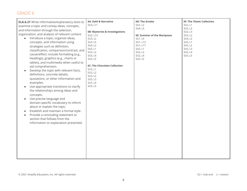| <b>ELA.6.21</b> Write informative/explanatory texts to<br>examine a topic and convey ideas, concepts,<br>and information through the selection,<br>organization, and analysis of relevant content.<br>Introduce a topic; organize ideas,<br>concepts, and information using<br>strategies such as definition,<br>classification, comparison/contrast, and<br>cause/effect; include formatting (e.g.,<br>headings), graphics (e.g., charts or<br>tables), and multimedia when useful to<br>aid comprehension.<br>Develop the topic with relevant facts,<br>definitions, concrete details,<br>quotations, or other information and<br>examples.<br>Use appropriate transitions to clarify<br>$\bullet$<br>the relationships among ideas and<br>concepts.<br>Use precise language and<br>$\bullet$<br>domain-specific vocabulary to inform<br>about or explain the topic.<br>Establish and maintain a formal style.<br>$\bullet$<br>Provide a concluding statement or<br>$\bullet$<br>section that follows from the<br>information or explanation presented. | 6A: Dahl & Narrative<br>SU3, L11<br>6B: Mysteries & Investigations<br>SU2, L13<br>SU3, L2<br>SU3, L5<br>SU4, L2<br>SU5, L1<br>SU5, L2<br>SU5, L4<br>SU5, L5<br><b>6C: The Chocolate Collection</b><br>SU2, L1<br>SU2, L2<br>SU5, L2<br>SU5, L3<br>SU5, L4<br>SU5, L5 | <b>6D: The Greeks</b><br>SU2, L2<br>SU4, L5<br><b>6E: Summer of the Mariposas</b><br>SU1, L9<br>SU1, L13<br>SU1, L17<br>SU2, L1<br>SU2, L2<br>SU2, L4<br>SU2, L5 | 6F: The Titanic Collection<br>SU2, L1<br>SU2, L2<br>SU2, L3<br>SU3, L2<br>SU4, L2<br>SU5, L1<br>SU5, L2<br>SU5, L3<br>SU5, L4<br>SU5, L5 |
|-----------------------------------------------------------------------------------------------------------------------------------------------------------------------------------------------------------------------------------------------------------------------------------------------------------------------------------------------------------------------------------------------------------------------------------------------------------------------------------------------------------------------------------------------------------------------------------------------------------------------------------------------------------------------------------------------------------------------------------------------------------------------------------------------------------------------------------------------------------------------------------------------------------------------------------------------------------------------------------------------------------------------------------------------------------|----------------------------------------------------------------------------------------------------------------------------------------------------------------------------------------------------------------------------------------------------------------------|------------------------------------------------------------------------------------------------------------------------------------------------------------------|------------------------------------------------------------------------------------------------------------------------------------------|
|                                                                                                                                                                                                                                                                                                                                                                                                                                                                                                                                                                                                                                                                                                                                                                                                                                                                                                                                                                                                                                                           |                                                                                                                                                                                                                                                                      |                                                                                                                                                                  |                                                                                                                                          |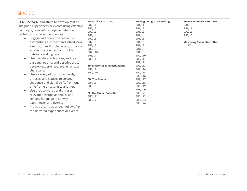| <b>ELA.6.22</b> Write narratives to develop real or | 6A: Dahl & Narrative           | <b>6G: Beginning Story Writing</b> | <b>Poetry in America: Grade 6</b> |
|-----------------------------------------------------|--------------------------------|------------------------------------|-----------------------------------|
| imagined experiences or events using effective      | SU2, L1                        | SU1, L1                            | SU1, L2                           |
| technique, relevant descriptive details, and        | SU2, L2                        | SU1, L2                            | SU1, L3                           |
|                                                     | SU2, L3                        | SU1, L3                            | SU2, L3                           |
| well-structured event sequences.                    | SU2, L4                        | <b>SU1, L4</b>                     | SU3, L3                           |
| Engage and orient the reader by<br>$\bullet$        | SU2, L5                        | SU1, L5                            |                                   |
| establishing a context and introducing              | SU2, L6                        | SU1, L6                            | <b>Mastering Conventions One</b>  |
| a narrator and/or characters; organize              | SU2, L7                        | SU1, L7                            | U1, L7                            |
| an event sequence that unfolds                      | SU2, L8                        | <b>SU1, L8</b>                     |                                   |
| naturally and logically.                            | SU2, L10                       | SU1, L9                            |                                   |
| Use narrative techniques, such as                   | SU3, L7                        | SU2, L10                           |                                   |
|                                                     | SU3, L11                       | SU2, L11                           |                                   |
| dialogue, pacing, and description, to               | 6B: Mysteries & Investigations | SU2, L12<br>SU2, L13               |                                   |
| develop experiences, events, and/or                 | SU1, L1                        | SU2, L14                           |                                   |
| characters.                                         | SU2, L10                       | SU2, L15                           |                                   |
| Use a variety of transition words,                  |                                | SU2, L16                           |                                   |
| phrases, and clauses to convey                      | <b>6D: The Greeks</b>          | SU2, L17                           |                                   |
| sequence and signal shifts from one                 | SU1, L5                        | SU2, L18                           |                                   |
| time frame or setting to another.                   | SU3, L5                        | SU2, L19                           |                                   |
| Use precise words and phrases,                      |                                | SU3, L20                           |                                   |
|                                                     | 6F: The Titanic Collection     | SU3, L21                           |                                   |
| relevant descriptive details, and                   | SU3, L2                        | SU3, L22                           |                                   |
| sensory language to convey                          | SU5, L7                        | SU3, L23                           |                                   |
| experiences and events.                             |                                | SU3, L24                           |                                   |
| Provide a conclusion that follows from              |                                |                                    |                                   |
| the narrated experiences or events.                 |                                |                                    |                                   |
|                                                     |                                |                                    |                                   |
|                                                     |                                |                                    |                                   |
|                                                     |                                |                                    |                                   |
|                                                     |                                |                                    |                                   |
|                                                     |                                |                                    |                                   |
|                                                     |                                |                                    |                                   |
|                                                     |                                |                                    |                                   |
|                                                     |                                |                                    |                                   |
|                                                     |                                |                                    |                                   |
|                                                     |                                |                                    |                                   |
|                                                     |                                |                                    |                                   |
|                                                     |                                |                                    |                                   |
|                                                     |                                |                                    |                                   |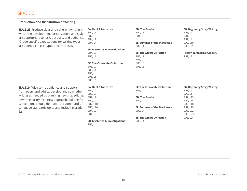| <b>Production and Distribution of Writing</b>                                                                                                                                                                                                                                                                 |                                                                                                                                                             |                                                                                                                                                                |                                                                                                                                               |
|---------------------------------------------------------------------------------------------------------------------------------------------------------------------------------------------------------------------------------------------------------------------------------------------------------------|-------------------------------------------------------------------------------------------------------------------------------------------------------------|----------------------------------------------------------------------------------------------------------------------------------------------------------------|-----------------------------------------------------------------------------------------------------------------------------------------------|
| <b>ELA.6.23</b> Produce clear and coherent writing in<br>which the development, organization, and style<br>are appropriate to task, purpose, and audience.<br>(Grade-specific expectations for writing types<br>are defined in Text Types and Purposes.)                                                      | 6A: Dahl & Narrative<br>SU2, L5<br>SU2, L9<br>SU4, L2<br>SU4, L4                                                                                            | 6D: The Greeks<br>SU4, L1<br>SU4, L5<br><b>6E: Summer of the Mariposas</b><br>SU2, L1                                                                          | <b>6G: Beginning Story Writing</b><br>SU1, L2<br>SU1, L3<br>SU1, L4<br>SU2, L19<br>SU3, L21                                                   |
|                                                                                                                                                                                                                                                                                                               | 6B: Mysteries & Investigations<br>SU4, L2<br>SU5, L1<br><b>6C: The Chocolate Collection</b>                                                                 | 6F: The Titanic Collection<br>SU5, L1<br>SU5, L4<br>SU5, L5                                                                                                    | <b>Poetry in America: Grade 6</b><br>SU1, L3                                                                                                  |
|                                                                                                                                                                                                                                                                                                               | SU3, L2<br>SU5, L1<br>SU5, L4<br>SU5, L5<br>SU5, L6                                                                                                         | SU5, L6                                                                                                                                                        |                                                                                                                                               |
| <b>ELA.6.24</b> With some guidance and support<br>from peers and adults, develop and strengthen<br>writing as needed by planning, revising, editing,<br>rewriting, or trying a new approach. (Editing for<br>conventions should demonstrate command of<br>Language standards up to and including grade<br>6.) | 6A: Dahl & Narrative<br>SU2, L2<br>SU2, L3<br>SU2, L7<br>SU2, L9<br>SU2, L10<br>SU3, L10<br>SU4, L2<br>SU4, L3<br>6B: Mysteries & Investigations<br>SU5, L4 | <b>6C: The Chocolate Collection</b><br>SU5, L4<br>6D: The Greeks<br>SU4, L4<br>6E: Summer of the Mariposas<br>SU2, L4<br>6F: The Titanic Collection<br>SU5, L4 | <b>6G: Beginning Story Writing</b><br>SU1, L6<br>SU2, L11<br>SU2, L13<br>SU2, L14<br>SU2, L18<br>SU2, L19<br>SU3, L22<br>SU3, L23<br>SU3, L24 |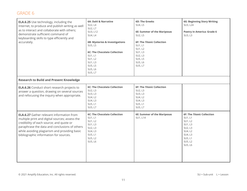| ELA.6.25 Use technology, including the<br>Internet, to produce and publish writing as well<br>as to interact and collaborate with others;<br>demonstrate sufficient command of<br>keyboarding skills to type efficiently and<br>accurately.                                                | 6A: Dahl & Narrative<br>SU2, L4<br>SU2, L7<br>SU3, L12<br><b>SU4, L4</b><br>6B: Mysteries & Investigations<br>SU5, L5<br><b>6C: The Chocolate Collection</b><br><b>SU1, L1</b><br>SU1, L2<br>SU1, L3<br>SU5, L5<br>SU5, L6<br>SU5, L7 | <b>6D: The Greeks</b><br>SU4, L5<br>6E: Summer of the Mariposas<br>SU2, L5<br><b>6F: The Titanic Collection</b><br>SU1, L1<br>SU1, L2<br>SU1, L3<br>SU2, L3<br>SU5, L5<br>SU5, L6<br>SU5, L7 | <b>6G: Beginning Story Writing</b><br>SU3, L24<br><b>Poetry in America: Grade 6</b><br>SU3, L3                                       |
|--------------------------------------------------------------------------------------------------------------------------------------------------------------------------------------------------------------------------------------------------------------------------------------------|---------------------------------------------------------------------------------------------------------------------------------------------------------------------------------------------------------------------------------------|----------------------------------------------------------------------------------------------------------------------------------------------------------------------------------------------|--------------------------------------------------------------------------------------------------------------------------------------|
| <b>Research to Build and Present Knowledge</b>                                                                                                                                                                                                                                             |                                                                                                                                                                                                                                       |                                                                                                                                                                                              |                                                                                                                                      |
| <b>ELA.6.26</b> Conduct short research projects to<br>answer a question, drawing on several sources<br>and refocusing the inquiry when appropriate.                                                                                                                                        | <b>6C: The Chocolate Collection</b><br>SU2, L3<br>SU3, L3<br>SU4, L2<br>SU4, L3<br>SU5, L1<br>SU5, L7                                                                                                                                 | <b>6F: The Titanic Collection</b><br>SU2, L3<br>SU3, L3<br>SU4, L2<br>SU4, L3<br>SU5, L1<br>SU5, L7                                                                                          |                                                                                                                                      |
| <b>ELA.6.27</b> Gather relevant information from<br>multiple print and digital sources; assess the<br>credibility of each source; and quote or<br>paraphrase the data and conclusions of others<br>while avoiding plagiarism and providing basic<br>bibliographic information for sources. | <b>6C: The Chocolate Collection</b><br>SU1, L1<br>SU1, L2<br>SU1, L3<br>SU2, L3<br>SU4, L3<br>SU5, L1<br>SU5, L2<br>SU5, L6                                                                                                           | <b>6E: Summer of the Mariposas</b><br>SU1, L14                                                                                                                                               | <b>6F: The Titanic Collection</b><br>SU1, L1<br>SU1, L2<br>SU1, L3<br>SU2, L3<br>SU4, L2<br>SU4, L3<br>SU5, L1<br>SU5, L2<br>SU5, L6 |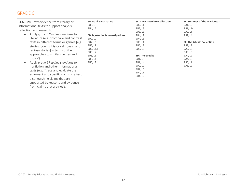| <b>ELA.6.28</b> Draw evidence from literary or<br>informational texts to support analysis,<br>reflection, and research.<br>Apply grade 6 Reading standards to<br>$\bullet$<br>literature (e.g., "compare and contrast<br>texts in different forms or genres [e.g.,<br>stories, poems, historical novels, and<br>fantasy stories] in terms of their<br>approaches to similar themes and<br>topics").<br>Apply grade 6 Reading standards to<br>$\bullet$<br>nonfiction and other informational<br>texts (e.g., "trace and evaluate the<br>argument and specific claims in a text,<br>distinguishing claims that are<br>supported by reasons and evidence<br>from claims that are not"). | 6A: Dahl & Narrative<br>SU3, L3<br>SU4, L2<br>6B: Mysteries & Investigations<br>SU2, L2<br>SU2, L6<br>SU2, L9<br>SU2, L13<br>SU3, L2<br>SU3, L5<br>SU5, L1<br>SU5, L2 | <b>6C: The Chocolate Collection</b><br>SU2, L1<br>SU2, L3<br>SU3, L3<br>SU4, L2<br>SU4, L3<br>SU5, L1<br>SU5, L2<br>SU5, L3<br>6D: The Greeks<br>SU1, L3<br>SU1, L4<br>SU2, L2<br>SU2, L6<br>SU4, L1<br>SU4, L2 | <b>6E: Summer of the Mariposas</b><br>SU1, L9<br>SU1, L14<br>SU2, L1<br>SU2, L4<br>6F: The Titanic Collection<br>SU2, L2<br>SU2, L3<br>SU3, L3<br>SU4, L2<br>SU4, L3<br>SU5, L1<br>SU5, L2 |
|---------------------------------------------------------------------------------------------------------------------------------------------------------------------------------------------------------------------------------------------------------------------------------------------------------------------------------------------------------------------------------------------------------------------------------------------------------------------------------------------------------------------------------------------------------------------------------------------------------------------------------------------------------------------------------------|-----------------------------------------------------------------------------------------------------------------------------------------------------------------------|-----------------------------------------------------------------------------------------------------------------------------------------------------------------------------------------------------------------|--------------------------------------------------------------------------------------------------------------------------------------------------------------------------------------------|
|---------------------------------------------------------------------------------------------------------------------------------------------------------------------------------------------------------------------------------------------------------------------------------------------------------------------------------------------------------------------------------------------------------------------------------------------------------------------------------------------------------------------------------------------------------------------------------------------------------------------------------------------------------------------------------------|-----------------------------------------------------------------------------------------------------------------------------------------------------------------------|-----------------------------------------------------------------------------------------------------------------------------------------------------------------------------------------------------------------|--------------------------------------------------------------------------------------------------------------------------------------------------------------------------------------------|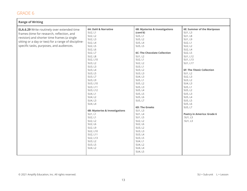| <b>Range of Writing</b>                                                                                                                                                                                                                            |                                                                                                                                                                                                                                                                                                                                                                            |                                                                                                                                                                                                                                                                                                                                                                             |                                                                                                                                                                                                                                                                                                                                                                       |
|----------------------------------------------------------------------------------------------------------------------------------------------------------------------------------------------------------------------------------------------------|----------------------------------------------------------------------------------------------------------------------------------------------------------------------------------------------------------------------------------------------------------------------------------------------------------------------------------------------------------------------------|-----------------------------------------------------------------------------------------------------------------------------------------------------------------------------------------------------------------------------------------------------------------------------------------------------------------------------------------------------------------------------|-----------------------------------------------------------------------------------------------------------------------------------------------------------------------------------------------------------------------------------------------------------------------------------------------------------------------------------------------------------------------|
| <b>ELA.6.29</b> Write routinely over extended time<br>frames (time for research, reflection, and<br>revision) and shorter time frames (a single<br>sitting or a day or two) for a range of discipline-<br>specific tasks, purposes, and audiences. | 6A: Dahl & Narrative<br>SU2, L1<br>SU2, L2<br>SU2, L3<br>SU2, L4<br>SU2, L5<br>SU2, L6<br>SU2, L7<br><b>SU2, L8</b><br>SU2, L10<br>SU3, L2<br>SU3, L3<br>SU3, L4<br>SU3, L5<br>SU3, L7<br>SU3, L9<br>SU3, L10<br>SU3, L11<br>SU3, L12<br>SU4, L1<br>SU4, L2<br>SU4, L3<br>SU4, L4<br>6B: Mysteries & Investigations<br>SU1, L1<br>SU2, L1<br>SU2, L2<br>SU2, L6<br>SU2, L9 | 6B: Mysteries & Investigations<br>(cont'd)<br>SU5, L1<br>SU5, L2<br>SU5, L4<br>SU5, L5<br><b>6C: The Chocolate Collection</b><br>SU1, L2<br>SU2, L1<br>SU2, L2<br>SU3, L1<br>SU3, L2<br>SU3, L3<br>SU4, L3<br>SU5, L1<br>SU5, L2<br>SU5, L3<br>SU5, L4<br>SU5, L5<br>SU5, L6<br>SU5, L7<br>6D: The Greeks<br>SU1, L3<br>SU1, L4<br>SU1, L5<br>SU2, L2<br>SU2, L6<br>SU3, L2 | <b>6E: Summer of the Mariposas</b><br>SU1, L3<br><b>SU1, L8</b><br>SU1, L9<br>SU2, L1<br>SU2, L2<br>SU2, L4<br>SU2, L5<br>SU1, L12<br>SU1, L13<br>SU1, L17<br>6F: The Titanic Collection<br>SU1, L2<br>SU2, L3<br>SU3, L2<br>SU4, L3<br>SU5, L1<br>SU5, L2<br>SU5, L3<br>SU5, L4<br>SU5, L5<br>SU5, L6<br>SU5, L7<br>Poetry in America: Grade 6<br>SU1, L3<br>SU1, L3 |
|                                                                                                                                                                                                                                                    | SU2, L10<br>SU2, L11<br>SU2, L13<br>SU3, L2<br>SU3, L5<br>SU4, L2                                                                                                                                                                                                                                                                                                          | SU3, L3<br>SU3, L4<br>SU3, L5<br>SU4, L1<br>SU4, L2<br>SU4, L4<br>SU4, L5                                                                                                                                                                                                                                                                                                   |                                                                                                                                                                                                                                                                                                                                                                       |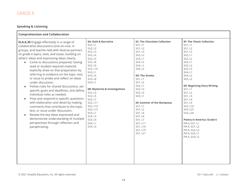#### **Speaking & Listening**

| <b>Comprehension and Collaboration</b>                                                                                                                                                                                                                                                                                                                                                                                                                                                                                                                                                                                                                                                                                                                                                                                                                                                                                                                        |                                                                                                                                                                                                                                                                                                                         |                                                                                                                                                                                                                                                                                                                                                       |                                                                                                                                                                                                                                                                                                                                                                                                                            |
|---------------------------------------------------------------------------------------------------------------------------------------------------------------------------------------------------------------------------------------------------------------------------------------------------------------------------------------------------------------------------------------------------------------------------------------------------------------------------------------------------------------------------------------------------------------------------------------------------------------------------------------------------------------------------------------------------------------------------------------------------------------------------------------------------------------------------------------------------------------------------------------------------------------------------------------------------------------|-------------------------------------------------------------------------------------------------------------------------------------------------------------------------------------------------------------------------------------------------------------------------------------------------------------------------|-------------------------------------------------------------------------------------------------------------------------------------------------------------------------------------------------------------------------------------------------------------------------------------------------------------------------------------------------------|----------------------------------------------------------------------------------------------------------------------------------------------------------------------------------------------------------------------------------------------------------------------------------------------------------------------------------------------------------------------------------------------------------------------------|
| <b>ELA.6.30</b> Engage effectively in a range of<br>collaborative discussions (one-on-one, in<br>groups, and teacher-led) with diverse partners<br>on grade 6 topics, texts, and issues, building on<br>others' ideas and expressing ideas clearly.<br>Come to discussions prepared, having<br>read or studied required material;<br>explicitly draw on that preparation by<br>referring to evidence on the topic, text,<br>or issue to probe and reflect on ideas<br>under discussion.<br>Follow rules for shared discussions, set<br>$\bullet$<br>specific goals and deadlines, and define<br>individual roles as needed.<br>Pose and respond to specific questions<br>$\bullet$<br>with elaboration and detail by making<br>comments that contribute to the topic,<br>text, or issue under discussion.<br>Review the key ideas expressed and<br>$\bullet$<br>demonstrate understanding of multiple<br>perspectives through reflection and<br>paraphrasing. | 6A: Dahl & Narrative<br>SU2, L1<br>SU2, L2<br>SU2, L3<br>SU2, L4<br>SU2, L5<br>SU2, L8<br>SU2, L9<br>SU2, L10<br>SU3, L1<br>SU3, L6<br>SU3, L8<br>SU4, L1<br>6B: Mysteries & Investigations<br>SU2, L3<br>SU2, L5<br>SU2, L7<br>SU2, L11<br>SU2, L14<br>SU2, L15<br>SU3, L1<br>SU3, L3<br>SU3, L4<br>SU4, L1<br>SU4, L3 | <b>6C: The Chocolate Collection</b><br>SU1, L1<br>SU1, L2<br>SU1, L3<br>SU2, L2<br>SU3, L1<br>SU3, L2<br>SU4, L1<br>SU4, L2<br>6D: The Greeks<br>SU1, L1<br>SU1, L2<br>SU2, L1<br>SU2, L3<br>SU2, L5<br>SU3, L1<br>6E: Summer of the Mariposas<br>SU1, L1<br>SU1, L2<br>SU1, L4<br>SU1, L6<br>SU1, L7<br>SU1, L11<br>SU1, L16<br>SU1, L19<br>SU1, L21 | 6F: The Titanic Collection<br>SU1, L1<br>SU1, L2<br>SU1, L3<br>SU2, L1<br>SU2, L2<br>SU3, L1<br>SU3, L2<br>SU3, L3<br>SU4, L1<br>SU4, L2<br>SU5, L2<br><b>6G: Beginning Story Writing</b><br>SU1, L1<br>SU1, L2<br>SU1, L3<br><b>SU1, L4</b><br>SU1, L9<br>SU2, L10<br>SU3, L23<br>SU3, L24<br><b>Poetry in America: Grade 6</b><br>PIA 6, SU1, L1<br>PIA 6, SU1, L2<br>PIA 6, SU2, L2<br>PIA 6, SU3, L1<br>PIA 6, SU3, L2 |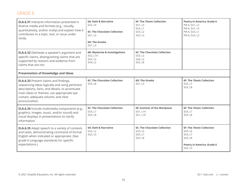| <b>ELA.6.31</b> Interpret information presented in<br>diverse media and formats (e.g., visually,<br>quantitatively, and/or orally) and explain how it<br>contributes to a topic, text, or issue under<br>study.                                         | 6A: Dahl & Narrative<br>SU2, L9<br><b>6C: The Chocolate Collection</b><br>SU1, L3<br><b>6D: The Greeks</b><br>SU1, L3 | <b>6F: The Titanic Collection</b><br>SU1, L3<br>SU3, L1<br>SU3, L2<br>SU3, L3 | Poetry in America: Grade 6<br>PIA 6, SU1, L2<br>PIA 6, SU1, L3<br>PIA 6, SU3, L1<br>PIA 6, SU3, L2          |
|---------------------------------------------------------------------------------------------------------------------------------------------------------------------------------------------------------------------------------------------------------|-----------------------------------------------------------------------------------------------------------------------|-------------------------------------------------------------------------------|-------------------------------------------------------------------------------------------------------------|
| <b>ELA.6.32</b> Delineate a speaker's argument and<br>specific claims, distinguishing claims that are<br>supported by reasons and evidence from<br>claims that are not.                                                                                 | 6B: Mysteries & Investigations<br>SU2, L14<br>SU2, L3<br>SU4, L2                                                      | <b>6C: The Chocolate Collection</b><br>SU3, L2<br>SU4, L2<br><b>SU5, L8</b>   |                                                                                                             |
| <b>Presentation of Knowledge and Ideas</b>                                                                                                                                                                                                              |                                                                                                                       |                                                                               |                                                                                                             |
| <b>ELA.6.33</b> Present claims and findings,<br>sequencing ideas logically and using pertinent<br>descriptions, facts, and details, to accentuate<br>main ideas or themes; use appropriate eye<br>contact, adequate volume, and clear<br>pronunciation. | <b>6C: The Chocolate Collection</b><br><b>SU5, L8</b>                                                                 | <b>6D: The Greeks</b><br>SU1, L3                                              | <b>6F: The Titanic Collection</b><br>SU5, L7<br>SU5, L8                                                     |
| <b>ELA.6.34</b> Include multimedia components (e.g.,<br>graphics, images, music, and/or sound) and<br>visual displays in presentations to clarify<br>information.                                                                                       | <b>6C: The Chocolate Collection</b><br>SU5, L7<br><b>SU5, L8</b>                                                      | 6E: Summer of the Mariposas<br>SU1, L14<br>SU1, L16                           | <b>6F: The Titanic Collection</b><br>SU5, L7<br><b>SU5, L8</b>                                              |
| <b>ELA.6.35</b> Adapt speech to a variety of contexts<br>and tasks, demonstrating command of formal<br>English when indicated or appropriate. (See<br>grade 6 Language standards for specific<br>expectations.)                                         | 6A: Dahl & Narrative<br>SU2, L2<br>SU2, L5                                                                            | <b>6C: The Chocolate Collection</b><br>SU5, L5<br>SU5, L7<br><b>SU5, L8</b>   | <b>6F: The Titanic Collection</b><br>SU5, L6<br>SU5, L7<br>SU5, L8<br>Poetry in America: Grade 6<br>SU2, L3 |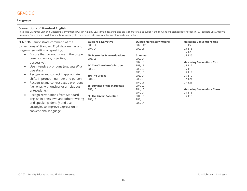#### **Language**

| <b>Conventions of Standard English</b><br>Note: The Grammar unit and Mastering Conventions PDFs in Amplify ELA contain teaching and practice materials to support the conventions standards for grades 6-8. Teachers use Amplify's<br>Grammar Pacing Guide to determine how to integrate these lessons to ensure effective standards instruction.                                                                                                                                                                                                                                                                                                                                                             |                                                                                                                                                                                                                                                           |                                                                                                                                                                                                                                 |                                                                                                                                                                                                                                               |  |
|---------------------------------------------------------------------------------------------------------------------------------------------------------------------------------------------------------------------------------------------------------------------------------------------------------------------------------------------------------------------------------------------------------------------------------------------------------------------------------------------------------------------------------------------------------------------------------------------------------------------------------------------------------------------------------------------------------------|-----------------------------------------------------------------------------------------------------------------------------------------------------------------------------------------------------------------------------------------------------------|---------------------------------------------------------------------------------------------------------------------------------------------------------------------------------------------------------------------------------|-----------------------------------------------------------------------------------------------------------------------------------------------------------------------------------------------------------------------------------------------|--|
| <b>ELA.6.36</b> Demonstrate command of the<br>conventions of Standard English grammar and<br>usage when writing or speaking.<br>Ensure that pronouns are in the proper<br>$\bullet$<br>case (subjective, objective, or<br>possessive).<br>Use intensive pronouns (e.g., myself or<br>ourselves).<br>Recognize and correct inappropriate<br>$\bullet$<br>shifts in pronoun number and person.<br>Recognize and correct vague pronouns<br>$\bullet$<br>(i.e., ones with unclear or ambiguous<br>antecedents).<br>Recognize variations from Standard<br>$\bullet$<br>English in one's own and others' writing<br>and speaking; identify and use<br>strategies to improve expression in<br>conventional language. | 6A: Dahl & Narrative<br>SU3, L4<br>SU4, L4<br>6B: Mysteries & Investigations<br>SU5, L5<br>6C: The Chocolate Collection<br>SU5, L5<br><b>6D: The Greeks</b><br>SU4, L5<br>6E: Summer of the Mariposas<br>SU2, L5<br>6F: The Titanic Collection<br>SU5, L5 | <b>6G: Beginning Story Writing</b><br>SU2, L12<br>SU2, L17<br>Grammar<br>SU2, L4<br>SU2, L8<br>SU3, L1<br>SU3, L2<br>SU3, L3<br>SU3, L4<br>SU3, L5<br>SU4, L1<br>SU4, L2<br>SU4, L3<br>SU4, L4<br>SU4, L5<br>SU5, L4<br>SU6, L4 | <b>Mastering Conventions One</b><br>U1, L5<br>U3, L16<br>U5, L25<br>U5, L26<br><b>Mastering Conventions Two</b><br>U5, L17<br>U5, L18<br>U5, L19<br>U5, L19<br>U7, L24<br>U7, L25<br><b>Mastering Conventions Three</b><br>U5, L18<br>U5, L19 |  |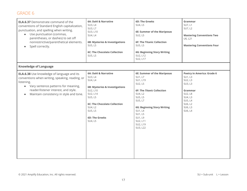| <b>ELA.6.37</b> Demonstrate command of the<br>conventions of Standard English capitalization,<br>punctuation, and spelling when writing.<br>Use punctuation (commas,<br>$\bullet$<br>parentheses, or dashes) to set off<br>nonrestrictive/parenthetical elements.<br>Spell correctly.<br>$\bullet$ | 6A: Dahl & Narrative<br>SU3, L4<br>SU3, L7<br>SU3, L10<br>SU4, L4<br>6B: Mysteries & Investigations<br>SU5, L5<br><b>6C: The Chocolate Collection</b><br>SU5, L5                                                 | 6D: The Greeks<br>SU4, L5<br>6E: Summer of the Mariposas<br>SU2, L5<br><b>6F: The Titanic Collection</b><br>SU5, L5<br><b>6G: Beginning Story Writing</b><br>SU2, L12<br>SU2, L17                                                              | Grammar<br>SU7, L1<br>SU7, L2<br><b>Mastering Conventions Two</b><br>U6, L21<br><b>Mastering Conventions Four</b>                               |
|----------------------------------------------------------------------------------------------------------------------------------------------------------------------------------------------------------------------------------------------------------------------------------------------------|------------------------------------------------------------------------------------------------------------------------------------------------------------------------------------------------------------------|------------------------------------------------------------------------------------------------------------------------------------------------------------------------------------------------------------------------------------------------|-------------------------------------------------------------------------------------------------------------------------------------------------|
| <b>Knowledge of Language</b>                                                                                                                                                                                                                                                                       |                                                                                                                                                                                                                  |                                                                                                                                                                                                                                                |                                                                                                                                                 |
| <b>ELA.6.38</b> Use knowledge of language and its<br>conventions when writing, speaking, reading, or<br>listening.<br>Vary sentence patterns for meaning,<br>$\bullet$<br>reader/listener interest, and style.<br>Maintain consistency in style and tone.<br>$\bullet$                             | 6A: Dahl & Narrative<br>SU3, L4<br>SU4, L4<br>6B: Mysteries & Investigations<br>SU2, L10<br>SU2, L14<br>SU5, L5<br><b>6C: The Chocolate Collection</b><br>SU4, L2<br>SU5, L5<br><b>6D: The Greeks</b><br>SU4, L5 | <b>6E: Summer of the Mariposas</b><br>SU1, L7<br>SU1, L19<br>SU2, L5<br>6F: The Titanic Collection<br>SU4, L2<br>SU5, L5<br>SU5, L7<br><b>6G: Beginning Story Writing</b><br>SU1, L4<br>SU1, L5<br>SU1, L9<br>SU2, L11<br>SU2, L19<br>SU3, L22 | <b>Poetry in America: Grade 6</b><br>SU1, L3<br>SU2, L3<br>SU3, L3<br>Grammar<br>SU2, L8<br>SU4, L3<br>SU5, L4<br>SU6, L2<br>SU6, L3<br>SU6, L4 |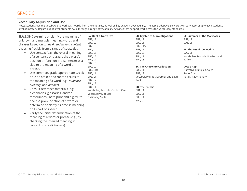#### **Vocabulary Acquisition and Use**

Note: Students use the Vocab App to work with words from the unit texts, as well as key academic vocabulary. The app is adaptive, so words will vary according to each student's level of mastery. Regardless of level, students cycle through a range of vocabulary activities that support work across the vocabulary standards.

| <b>ELA.6.39</b> Determine or clarify the meaning of<br>unknown and multiple-meaning words and<br>phrases based on grade 6 reading and content,<br>choosing flexibly from a range of strategies.<br>Use context (e.g., the overall meaning<br>$\bullet$<br>of a sentence or paragraph; a word's<br>position or function in a sentence) as a<br>clue to the meaning of a word or<br>phrase.<br>Use common, grade-appropriate Greek<br>$\bullet$<br>or Latin affixes and roots as clues to<br>the meaning of a word (e.g., audience,<br>auditory, and audible).<br>Consult reference materials (e.g.,<br>$\bullet$<br>dictionaries, glossaries, and/or<br>thesauruses), both print and digital, to<br>find the pronunciation of a word or<br>determine or clarify its precise meaning<br>or its part of speech.<br>Verify the initial determination of the<br>$\bullet$<br>meaning of a word or phrase (e.g., by<br>checking the inferred meaning in<br>context or in a dictionary). | 6A: Dahl & Narrative<br>SU2, L1<br>SU2, L2<br>SU2, L3<br>SU2, L4<br>SU2, L5<br>SU2, L6<br>SU2, L7<br>SU2, L8<br>SU2, L9<br>SU2, L10<br>SU3, L1<br>SU3, L11<br>SU4, L2<br>SU4, L3<br>SU4, L4<br>Vocabulary Module: Context Clues<br>Vocabulary Module:<br><b>Dictionary Skills</b> | 6B: Mysteries & Investigations<br>SU1, L1<br>SU2, L1<br>SU2, L15<br>SU3, L1<br>SU3, L3<br>SU4, L1<br>SU4, L3<br>6C: The Chocolate Collection<br>SU2, L1<br>SU2, L2<br>Vocabulary Module: Greek and Latin<br>Roots<br><b>6D: The Greeks</b><br>SU1, L1<br>SU2, L1<br>SU3, L1<br>SU4, L4 | 6E: Summer of the Mariposas<br>SU1, L1<br>SU1, L11<br>6F: The Titanic Collection<br>SU2, L1<br>Vocabulary Module: Prefixes and<br>Suffixes<br><b>Vocab App</b><br>Narrative Multiple Choice<br>Roots Exist<br><b>Totally ReDictionary</b> |
|-----------------------------------------------------------------------------------------------------------------------------------------------------------------------------------------------------------------------------------------------------------------------------------------------------------------------------------------------------------------------------------------------------------------------------------------------------------------------------------------------------------------------------------------------------------------------------------------------------------------------------------------------------------------------------------------------------------------------------------------------------------------------------------------------------------------------------------------------------------------------------------------------------------------------------------------------------------------------------------|-----------------------------------------------------------------------------------------------------------------------------------------------------------------------------------------------------------------------------------------------------------------------------------|----------------------------------------------------------------------------------------------------------------------------------------------------------------------------------------------------------------------------------------------------------------------------------------|-------------------------------------------------------------------------------------------------------------------------------------------------------------------------------------------------------------------------------------------|
|-----------------------------------------------------------------------------------------------------------------------------------------------------------------------------------------------------------------------------------------------------------------------------------------------------------------------------------------------------------------------------------------------------------------------------------------------------------------------------------------------------------------------------------------------------------------------------------------------------------------------------------------------------------------------------------------------------------------------------------------------------------------------------------------------------------------------------------------------------------------------------------------------------------------------------------------------------------------------------------|-----------------------------------------------------------------------------------------------------------------------------------------------------------------------------------------------------------------------------------------------------------------------------------|----------------------------------------------------------------------------------------------------------------------------------------------------------------------------------------------------------------------------------------------------------------------------------------|-------------------------------------------------------------------------------------------------------------------------------------------------------------------------------------------------------------------------------------------|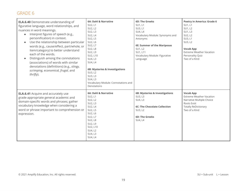| <b>ELA.6.40</b> Demonstrate understanding of<br>figurative language, word relationships, and<br>nuances in word meanings.<br>Interpret figures of speech (e.g.,<br>personification) in context.<br>Use the relationship between particular<br>words (e.g., cause/effect, part/whole, or<br>item/category) to better understand<br>each of the words.<br>Distinguish among the connotations<br>(associations) of words with similar<br>denotations (definitions) (e.g., stingy,<br>scrimping, economical, frugal, and<br>thrifty). | 6A: Dahl & Narrative<br>SU2, L1<br>SU2, L2<br>SU2, L3<br><b>SU2, L4</b><br>SU2, L5<br>SU2, L6<br>SU2, L7<br>SU2, L8<br>SU2, L9<br>SU2, L10<br>SU4, L3<br>SU4, L4<br>6B: Mysteries & Investigations<br>SU3, L2<br>SU3, L3<br>SU4, L3<br>Vocabulary Module: Connotations and<br>Denotations | <b>6D: The Greeks</b><br>SU1, L1<br>SU3, L1<br>SU4, L4<br>Vocabulary Module: Synonyms and<br>Antonyms<br>6E: Summer of the Mariposas<br>SU1, L2<br>SU1, L11<br>Vocabulary Module: Figurative<br>Language | Poetry in America: Grade 6<br>SU1, L1<br><b>SU1, L2</b><br>SU1, L3<br>SU2, L2<br>SU3, L1<br>SU3, L2<br><b>Vocab App</b><br><b>Extreme Weather Vacation</b><br>Personality Quiz<br>Two of a Kind |
|-----------------------------------------------------------------------------------------------------------------------------------------------------------------------------------------------------------------------------------------------------------------------------------------------------------------------------------------------------------------------------------------------------------------------------------------------------------------------------------------------------------------------------------|-------------------------------------------------------------------------------------------------------------------------------------------------------------------------------------------------------------------------------------------------------------------------------------------|----------------------------------------------------------------------------------------------------------------------------------------------------------------------------------------------------------|-------------------------------------------------------------------------------------------------------------------------------------------------------------------------------------------------|
| <b>ELA.6.41</b> Acquire and accurately use<br>grade-appropriate general academic and<br>domain-specific words and phrases; gather<br>vocabulary knowledge when considering a<br>word or phrase important to comprehension or<br>expression.                                                                                                                                                                                                                                                                                       | 6A: Dahl & Narrative<br>SU2, L1<br>SU2, L2<br>SU2, L3<br>SU2, L4<br>SU2, L5<br>SU2, L6<br>SU2, L7<br><b>SU2, L8</b><br>SU2, L9<br>SU2, L10<br>SU4, L2<br>SU4, L3<br>SU4, L4                                                                                                               | 6B: Mysteries & Investigations<br>SU3, L3<br>SU4, L3<br><b>6C: The Chocolate Collection</b><br>SU3, L2<br><b>6D: The Greeks</b><br>SU4, L4                                                               | <b>Vocab App</b><br><b>Extreme Weather Vacation</b><br>Narrative Multiple Choice<br>Roots Exist<br><b>Totally ReDictionary</b><br>Two of a Kind                                                 |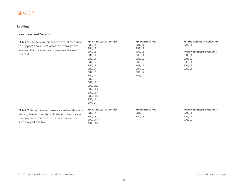#### **Reading**

| <b>Key Ideas and Details</b>                                                                                                                                                    |                                                                                                                                                                                                                                            |                                                                                                                                |                                                                                                                                     |
|---------------------------------------------------------------------------------------------------------------------------------------------------------------------------------|--------------------------------------------------------------------------------------------------------------------------------------------------------------------------------------------------------------------------------------------|--------------------------------------------------------------------------------------------------------------------------------|-------------------------------------------------------------------------------------------------------------------------------------|
| <b>ELA.7.1</b> Cite several pieces of textual evidence<br>to support analysis of what the literary text<br>says explicitly as well as inferences drawn from<br>the text.        | 7B: Character & Conflict<br>SU1, L1<br>SU1, L2<br>SU1, L3<br><b>SU1, L4</b><br>SU2, L1<br>SU2, L2<br>SU2, L3<br>SU2, L4<br>SU2, L6<br>SU2, L7<br>SU2, L9<br>SU2, L11<br>SU2, L12<br>SU2, L13<br>SU2, L14<br>SU2, L15<br>SU3, L1<br>SU4, L4 | 7D: Poetry & Poe<br>SU1, L1<br>SU2, L2<br>SU2, L5<br>SU3, L1<br>SU3, L2<br>SU3, L3<br>SU3, L5<br>SU4, L2<br>SU5, L2<br>SU5, L4 | 7F: The Gold Rush Collection<br>SU4, L1<br><b>Poetry in America: Grade 7</b><br>SU1, L1<br>SU1, L2<br>SU2, L1<br>SU2, L2<br>SU3, L1 |
| <b>ELA.7.2</b> Determine a theme or central idea of a<br>literary text and analyze its development over<br>the course of the text; provide an objective<br>summary of the text. | 7B: Character & Conflict<br>SU1, L4<br>SU2, L3<br>SU2, L14<br>SU2, L15                                                                                                                                                                     | 7D: Poetry & Poe<br>SU1, L3<br>SU4, L3                                                                                         | <b>Poetry in America: Grade 7</b><br>SU1, L1<br>SU2, L1<br>SU3, L2                                                                  |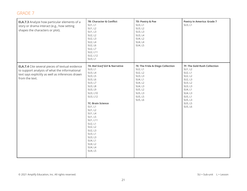| <b>ELA.7.3</b> Analyze how particular elements of a<br>story or drama interact (e.g., how setting<br>shapes the characters or plot).                                          | 7B: Character & Conflict<br>SU1, L1<br>SU1, L2<br>SU1, L3<br>SU2, L2<br>SU2, L3<br>SU2, L4<br>SU2, L6<br>SU2, L7<br>SU2, L11<br>SU2, L12<br>SU3, L1                                                                                                                                                                        | 7D: Poetry & Poe<br>SU3, L1<br>SU3, L2<br>SU3, L3<br>SU3, L4<br>SU4, L2<br>SU4, L4<br>SU4, L5                                                  | <b>Poetry in America: Grade 7</b><br>SU3, L1                                                                                                                     |
|-------------------------------------------------------------------------------------------------------------------------------------------------------------------------------|----------------------------------------------------------------------------------------------------------------------------------------------------------------------------------------------------------------------------------------------------------------------------------------------------------------------------|------------------------------------------------------------------------------------------------------------------------------------------------|------------------------------------------------------------------------------------------------------------------------------------------------------------------|
| <b>ELA.7.4</b> Cite several pieces of textual evidence<br>to support analysis of what the informational<br>text says explicitly as well as inferences drawn<br>from the text. | 7A: Red Scarf Girl & Narrative<br>SU3, L1<br>SU3, L4<br>SU3, L5<br>SU3, L6<br>SU3, L7<br>SU3, L8<br>SU3, L9<br>SU3, L10<br>SU3, L12<br><b>7C: Brain Science</b><br>SU1, L1<br>SU1, L2<br>SU1, L4<br>SU1, L5<br>SU1, L11<br>SU2, L1<br>SU2, L2<br>SU2, L3<br>SU3, L1<br>SU3, L3<br>SU4, L1<br>SU4, L2<br>SU4, L4<br>SU4, L5 | 7E: The Frida & Diego Collection<br>SU2, L1<br>SU2, L2<br>SU3, L3<br>SU4, L1<br>SU4, L2<br>SU4, L3<br>SU5, L2<br>SU5, L3<br>SU5, L5<br>SU5, L6 | 7F: The Gold Rush Collection<br>SU1, L2<br>SU2, L1<br>SU2, L2<br>SU2, L3<br>SU3, L2<br>SU3, L3<br>SU4, L1<br>SU4, L3<br>SU5, L1<br>SU5, L3<br>SU5, L5<br>SU5, L6 |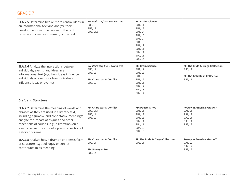| <b>ELA.7.5</b> Determine two or more central ideas in<br>an informational text and analyze their<br>development over the course of the text;<br>provide an objective summary of the text.                                                                                                                                 | 7A: Red Scarf Girl & Narrative<br>SU3, L5<br>SU3, L9<br>SU3, L12                            | <b>7C: Brain Science</b><br>SU1, L1<br>SU1, L3<br>SU1, L4<br>SU1, L5<br>SU1, L7<br><b>SU1, L8</b><br>SU1, L9<br>SU1, L11<br>SU2, L1<br>SU2, L3<br>SU2, L4 |                                                                                               |
|---------------------------------------------------------------------------------------------------------------------------------------------------------------------------------------------------------------------------------------------------------------------------------------------------------------------------|---------------------------------------------------------------------------------------------|-----------------------------------------------------------------------------------------------------------------------------------------------------------|-----------------------------------------------------------------------------------------------|
| <b>ELA.7.6</b> Analyze the interactions between<br>individuals, events, and ideas in an<br>informational text (e.g., how ideas influence<br>individuals or events, or how individuals<br>influence ideas or events).                                                                                                      | 7A: Red Scarf Girl & Narrative<br>SU3, L2<br>SU3, L3<br>7B: Character & Conflict<br>SU3, L2 | <b>7C: Brain Science</b><br>SU1, L2<br>SU1, L3<br>SU1, L5<br>SU1, L9<br>SU1, L11<br>SU2, L2<br>SU2, L3<br>SU2, L4                                         | 7E: The Frida & Diego Collection<br>SU3, L1<br><b>7F: The Gold Rush Collection</b><br>SU5, L1 |
| <b>Craft and Structure</b>                                                                                                                                                                                                                                                                                                |                                                                                             |                                                                                                                                                           |                                                                                               |
| <b>ELA.7.7</b> Determine the meaning of words and<br>phrases as they are used in a literary text,<br>including figurative and connotative meanings;<br>analyze the impact of rhymes and other<br>repetitions of sounds (e.g., alliteration) on a<br>specific verse or stanza of a poem or section of<br>a story or drama. | 7B: Character & Conflict<br>SU2, L13<br>SU3, L1<br>SU3, L2                                  | 7D: Poetry & Poe<br>SU1, L1<br>SU1, L2<br>SU1, L3<br>SU2, L1<br>SU4, L1<br>SU4, L2<br>SU4, L3                                                             | <b>Poetry in America: Grade 7</b><br>SU1, L1<br>SU1, L2<br>SU2, L1<br>SU3, L1<br>SU3, L2      |
| <b>ELA.7.8</b> Analyze how a drama's or poem's form<br>or structure (e.g., soliloquy or sonnet)<br>contributes to its meaning.                                                                                                                                                                                            | <b>7B: Character &amp; Conflict</b><br>SU2, L1<br>7D: Poetry & Poe<br>SU2, L4               | 7E: The Frida & Diego Collection<br>SU3, L1                                                                                                               | <b>Poetry in America: Grade 7</b><br>SU1, L2<br>SU2, L2<br>SU3, L2                            |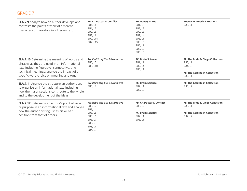| <b>ELA.7.9</b> Analyze how an author develops and<br>contrasts the points of view of different<br>characters or narrators in a literary text.                                                                                                  | 7B: Character & Conflict<br>SU1, L1<br>SU1, L2<br>SU2, L8<br>SU2, L11<br>SU2, L14<br>SU2, L15                           | 7D: Poetry & Poe<br>SU1, L3<br>SU2, L2<br>SU2, L3<br>SU2, L4<br>SU3, L1<br>SU3, L5<br>SU5, L1<br>SU5, L2<br>SU5, L5 | <b>Poetry in America: Grade 7</b><br>SU3, L1                                                      |
|------------------------------------------------------------------------------------------------------------------------------------------------------------------------------------------------------------------------------------------------|-------------------------------------------------------------------------------------------------------------------------|---------------------------------------------------------------------------------------------------------------------|---------------------------------------------------------------------------------------------------|
| <b>ELA.7.10</b> Determine the meaning of words and<br>phrases as they are used in an informational<br>text, including figurative, connotative, and<br>technical meanings; analyze the impact of a<br>specific word choice on meaning and tone. | 7A: Red Scarf Girl & Narrative<br>SU3, L3<br>SU3, L10                                                                   | <b>7C: Brain Science</b><br>SU1, L1<br>SU2, L4<br>SU3, L1                                                           | 7E: The Frida & Diego Collection<br>SU3, L1<br>SU4, L3<br>7F: The Gold Rush Collection<br>SU2, L1 |
| <b>ELA.7.11</b> Analyze the structure an author uses<br>to organize an informational text, including<br>how the major sections contribute to the whole<br>and to the development of the ideas.                                                 | 7A: Red Scarf Girl & Narrative<br>SU3, L9                                                                               | 7C: Brain Science<br>SU2, L1<br>SU2, L2                                                                             | 7F: The Gold Rush Collection<br>SU3, L2                                                           |
| <b>ELA.7.12</b> Determine an author's point of view<br>or purpose in an informational text and analyze<br>how the author distinguishes his or her<br>position from that of others.                                                             | 7A: Red Scarf Girl & Narrative<br>SU3, L2<br>SU3, L4<br>SU3, L5<br>SU3, L6<br>SU3, L7<br>SU3, L8<br>SU3, L11<br>SU4, L5 | 7B: Character & Conflict<br>SU3, L2<br><b>7C: Brain Science</b><br>SU2, L1<br>SU3, L1                               | 7E: The Frida & Diego Collection<br>SU3, L1<br><b>7F: The Gold Rush Collection</b><br>SU2, L2     |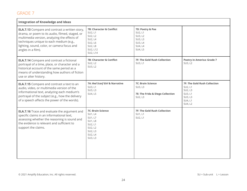| <b>Integration of Knowledge and Ideas</b>                                                                                                                                                                                                                                |                                                                                                                                |                                                                                    |                                                                                                       |
|--------------------------------------------------------------------------------------------------------------------------------------------------------------------------------------------------------------------------------------------------------------------------|--------------------------------------------------------------------------------------------------------------------------------|------------------------------------------------------------------------------------|-------------------------------------------------------------------------------------------------------|
| <b>ELA.7.13</b> Compare and contrast a written story,<br>drama, or poem to its audio, filmed, staged, or<br>multimedia version, analyzing the effects of<br>techniques unique to each medium (e.g.,<br>lighting, sound, color, or camera focus and<br>angles in a film). | 7B: Character & Conflict<br>SU2, L1<br>SU2, L2<br>SU2, L4<br>SU2, L6<br>SU2, L8<br>SU2, L12<br>SU2, L14                        | 7D: Poetry & Poe<br>SU2, L1<br>SU3, L2<br>SU3, L3<br>SU3, L4<br>SU4, L4<br>SU4, L5 |                                                                                                       |
| <b>ELA.7.14</b> Compare and contrast a fictional<br>portrayal of a time, place, or character and a<br>historical account of the same period as a<br>means of understanding how authors of fiction<br>use or alter history.                                               | 7B: Character & Conflict<br>SU2, L2<br>SU3, L2                                                                                 | <b>7F: The Gold Rush Collection</b><br>SU3, L1                                     | <b>Poetry in America: Grade 7</b><br>SU3, L2                                                          |
| <b>ELA.7.15</b> Compare and contrast a text to an<br>audio, video, or multimedia version of the<br>informational text, analyzing each medium's<br>portrayal of the subject (e.g., how the delivery<br>of a speech affects the power of the words).                       | 7A: Red Scarf Girl & Narrative<br>SU3, L1<br>SU3, L3<br>SU4, L5                                                                | <b>7C: Brain Science</b><br>SU3, L3<br>7E: The Frida & Diego Collection<br>SU2, L3 | <b>7F: The Gold Rush Collection</b><br>SU2, L1<br>SU2, L3<br>SU3, L1<br>SU3, L3<br>SU4, L1<br>SU4, L2 |
| <b>ELA.7.16</b> Trace and evaluate the argument and<br>specific claims in an informational text,<br>assessing whether the reasoning is sound and<br>the evidence is relevant and sufficient to<br>support the claims.                                                    | <b>7C: Brain Science</b><br><b>SU1, L4</b><br>SU1, L7<br><b>SU1, L8</b><br>SU2, L1<br>SU2, L2<br>SU2, L3<br>SU2, L4<br>SU3, L3 | <b>7F: The Gold Rush Collection</b><br>SU1, L1<br>SU2, L1                          |                                                                                                       |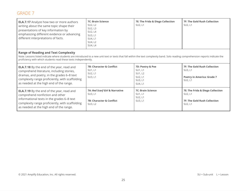| <b>ELA.7.17</b> Analyze how two or more authors<br>writing about the same topic shape their<br>presentations of key information by<br>emphasizing different evidence or advancing<br>different interpretations of facts.                                                                             | <b>7C: Brain Science</b><br>SU2, L2<br>SU2, L3<br>SU2, L4<br>SU3, L1<br>SU4, L1<br>SU4, L2<br>SU4, L4 | 7E: The Frida & Diego Collection<br>SU2, L1                             | <b>7F: The Gold Rush Collection</b><br>SU2, L1                                                 |
|------------------------------------------------------------------------------------------------------------------------------------------------------------------------------------------------------------------------------------------------------------------------------------------------------|-------------------------------------------------------------------------------------------------------|-------------------------------------------------------------------------|------------------------------------------------------------------------------------------------|
| <b>Range of Reading and Text Complexity</b><br>Note: Lessons listed indicate where students are introduced to a new unit text or texts that fall within the text complexity band. Solo reading comprehension reports indicate the<br>proficiency with which students read these texts independently. |                                                                                                       |                                                                         |                                                                                                |
| <b>ELA.7.18</b> By the end of the year, read and<br>comprehend literature, including stories,<br>dramas, and poetry, in the grades 6-8 text<br>complexity range proficiently, with scaffolding<br>as needed at the high end of the range.                                                            | <b>7B: Character &amp; Conflict</b><br>SU1, L1<br>SU2, L1<br>SU3, L1                                  | 7D: Poetry & Poe<br>SU1, L1<br>SU1, L2<br>SU2, L1<br>SU3, L1<br>SU4, L1 | <b>7F: The Gold Rush Collection</b><br>SU3, L1<br><b>Poetry in America: Grade 7</b><br>SU2, L1 |
| <b>ELA.7.19</b> By the end of the year, read and<br>comprehend nonfiction and other<br>informational texts in the grades 6-8 text<br>complexity range proficiently, with scaffolding<br>as needed at the high end of the range.                                                                      | 7A: Red Scarf Girl & Narrative<br>SU3, L1<br><b>7B: Character &amp; Conflict</b><br>SU3, L2           | <b>7C: Brain Science</b><br>SU1, L1<br>SU2, L1<br>SU3, L1               | 7E: The Frida & Diego Collection<br>SU2, L1<br><b>7F: The Gold Rush Collection</b><br>SU2, L1  |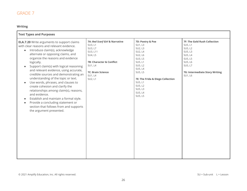#### **Writing**

| <b>Text Types and Purposes</b>                                                                                                                                                                                                                                                                                                                                                                                                                                                                                                                                                                                                                                                                                                                          |                                                                                                                                                                      |                                                                                                                                                                                                                |                                                                                                                                                        |
|---------------------------------------------------------------------------------------------------------------------------------------------------------------------------------------------------------------------------------------------------------------------------------------------------------------------------------------------------------------------------------------------------------------------------------------------------------------------------------------------------------------------------------------------------------------------------------------------------------------------------------------------------------------------------------------------------------------------------------------------------------|----------------------------------------------------------------------------------------------------------------------------------------------------------------------|----------------------------------------------------------------------------------------------------------------------------------------------------------------------------------------------------------------|--------------------------------------------------------------------------------------------------------------------------------------------------------|
| <b>ELA.7.20</b> Write arguments to support claims<br>with clear reasons and relevant evidence.<br>Introduce claim(s), acknowledge<br>$\bullet$<br>alternate or opposing claims, and<br>organize the reasons and evidence<br>logically.<br>Support claim(s) with logical reasoning<br>$\bullet$<br>and relevant evidence, using accurate,<br>credible sources and demonstrating an<br>understanding of the topic or text.<br>Use words, phrases, and clauses to<br>$\bullet$<br>create cohesion and clarify the<br>relationships among claim(s), reasons,<br>and evidence.<br>Establish and maintain a formal style.<br>$\bullet$<br>Provide a concluding statement or<br>$\bullet$<br>section that follows from and supports<br>the argument presented. | 7A: Red Scarf Girl & Narrative<br>SU3, L1<br>SU3, L7<br>SU3, L11<br>SU4, L5<br>7B: Character & Conflict<br>SU1, L4<br><b>7C: Brain Science</b><br>SU1, L4<br>SU2, L1 | 7D: Poetry & Poe<br>SU1, L3<br>SU2, L3<br>SU2, L4<br>SU2, L6<br>SU3, L5<br>SU5, L1<br>SU5, L2<br>SU5, L4<br>SU5, L5<br>7E: The Frida & Diego Collection<br>SU5, L1<br>SU5, L2<br>SU5, L3<br>SU5, L4<br>SU5, L5 | 7F: The Gold Rush Collection<br>SU5, L1<br>SU5, L2<br>SU5, L3<br>SU5, L4<br>SU5, L5<br>SU5, L6<br>SU5, L7<br>7G: Intermediate Story Writing<br>SU1, L6 |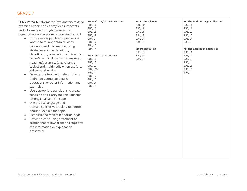| <b>ELA.7.21</b> Write informative/explanatory texts to<br>examine a topic and convey ideas, concepts,<br>and information through the selection,<br>organization, and analysis of relevant content.<br>Introduce a topic clearly, previewing<br>what is to follow; organize ideas,<br>concepts, and information, using<br>strategies such as definition,<br>classification, comparison/contrast, and<br>cause/effect; include formatting (e.g.,<br>headings), graphics (e.g., charts or<br>tables) and multimedia when useful to<br>aid comprehension.<br>Develop the topic with relevant facts,<br>definitions, concrete details,<br>quotations, or other information and<br>examples.<br>Use appropriate transitions to create<br>$\bullet$<br>cohesion and clarify the relationships<br>among ideas and concepts.<br>Use precise language and<br>$\bullet$<br>domain-specific vocabulary to inform<br>about or explain the topic.<br>Establish and maintain a formal style.<br>$\bullet$<br>Provide a concluding statement or<br>$\bullet$<br>section that follows from and supports<br>the information or explanation<br>presented. | 7A: Red Scarf Girl & Narrative<br>SU3, L4<br>SU3, L5<br>SU3, L8<br>SU3, L9<br>SU4, L1<br>SU4, L2<br>SU4, L3<br>SU4, L4<br>7B: Character & Conflict<br>SU2, L2<br>SU2, L3<br>SU2, L9<br>SU2, L15<br>SU4, L1<br>SU4, L2<br>SU4, L3<br>SU4, L4<br>SU4, L5 | <b>7C: Brain Science</b><br>SU1, L11<br>SU3, L1<br>SU4, L1<br>SU4, L2<br>SU4, L4<br>SU4, L5<br>7D: Poetry & Poe<br>SU3, L3<br>SU4, L2<br>SU4, L5 | 7E: The Frida & Diego Collection<br>SU2, L1<br>SU5, L1<br>SU5, L2<br>SU5, L3<br>SU5, L4<br>SU5, L5<br><b>7F: The Gold Rush Collection</b><br>SU5, L1<br>SU5, L2<br>SU5, L3<br>SU5, L4<br>SU5, L5<br>SU5, L6<br>SU5, L7 |
|----------------------------------------------------------------------------------------------------------------------------------------------------------------------------------------------------------------------------------------------------------------------------------------------------------------------------------------------------------------------------------------------------------------------------------------------------------------------------------------------------------------------------------------------------------------------------------------------------------------------------------------------------------------------------------------------------------------------------------------------------------------------------------------------------------------------------------------------------------------------------------------------------------------------------------------------------------------------------------------------------------------------------------------------------------------------------------------------------------------------------------------|--------------------------------------------------------------------------------------------------------------------------------------------------------------------------------------------------------------------------------------------------------|--------------------------------------------------------------------------------------------------------------------------------------------------|------------------------------------------------------------------------------------------------------------------------------------------------------------------------------------------------------------------------|
|----------------------------------------------------------------------------------------------------------------------------------------------------------------------------------------------------------------------------------------------------------------------------------------------------------------------------------------------------------------------------------------------------------------------------------------------------------------------------------------------------------------------------------------------------------------------------------------------------------------------------------------------------------------------------------------------------------------------------------------------------------------------------------------------------------------------------------------------------------------------------------------------------------------------------------------------------------------------------------------------------------------------------------------------------------------------------------------------------------------------------------------|--------------------------------------------------------------------------------------------------------------------------------------------------------------------------------------------------------------------------------------------------------|--------------------------------------------------------------------------------------------------------------------------------------------------|------------------------------------------------------------------------------------------------------------------------------------------------------------------------------------------------------------------------|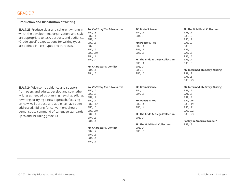| <b>Production and Distribution of Writing</b>                                                                                                                                                                                                                                                                                                                                   |                                                                                                                                                                                                                                    |                                                                                                                                                                                                      |                                                                                                                                                                                                                              |
|---------------------------------------------------------------------------------------------------------------------------------------------------------------------------------------------------------------------------------------------------------------------------------------------------------------------------------------------------------------------------------|------------------------------------------------------------------------------------------------------------------------------------------------------------------------------------------------------------------------------------|------------------------------------------------------------------------------------------------------------------------------------------------------------------------------------------------------|------------------------------------------------------------------------------------------------------------------------------------------------------------------------------------------------------------------------------|
| <b>ELA.7.23</b> Produce clear and coherent writing in<br>which the development, organization, and style<br>are appropriate to task, purpose, and audience.<br>(Grade-specific expectations for writing types<br>are defined in Text Types and Purposes.)                                                                                                                        | 7A: Red Scarf Girl & Narrative<br>SU2, L3<br>SU2, L4<br>SU2, L5<br>SU2, L6<br>SU2, L8<br>SU2, L9<br>SU2, L10<br>SU4, L1<br>SU4, L4<br><b>7B: Character &amp; Conflict</b><br>SU4, L1<br>SU4, L5                                    | <b>7C: Brain Science</b><br>SU4, L1<br>SU4, L5<br>7D: Poetry & Poe<br>SU2, L4<br>SU5, L1<br>SU5, L5<br>7E: The Frida & Diego Collection<br>SU5, L1<br>SU5, L4<br>SU5, L5<br>SU5, L6                  | <b>7F: The Gold Rush Collection</b><br>SU3, L1<br>SU3, L2<br>SU5, L1<br>SU5, L2<br>SU5, L3<br>SU5, L4<br>SU5, L5<br>SU5, L6<br>SU5, L7<br><b>SU5, L8</b><br>7G: Intermediate Story Writing<br>SU1, L2<br>SU1, L6<br>SU3, L23 |
| <b>ELA.7.24</b> With some guidance and support<br>from peers and adults, develop and strengthen<br>writing as needed by planning, revising, editing,<br>rewriting, or trying a new approach, focusing<br>on how well purpose and audience have been<br>addressed. (Editing for conventions should<br>demonstrate command of Language standards<br>up to and including grade 7.) | 7A: Red Scarf Girl & Narrative<br>SU2, L2<br>SU2, L3<br>SU2, L7<br>SU2, L11<br>SU2, L12<br>SU3, L6<br>SU3, L10<br>SU4, L1<br>SU4, L3<br>SU4, L4<br><b>7B: Character &amp; Conflict</b><br>SU4, L2<br>SU4, L3<br>SU4, L4<br>SU4, L5 | <b>7C: Brain Science</b><br>SU4, L4<br>SU4, L5<br>7D: Poetry & Poe<br>SU2, L4<br>SU5, L4<br>7E: The Frida & Diego Collection<br>SU5, L4<br><b>7F: The Gold Rush Collection</b><br>SU5, L4<br>SU5, L5 | 7G: Intermediate Story Writing<br>SU1, L7<br><b>SU1, L8</b><br>SU1, L9<br>SU2, L16<br>SU3, L19<br>SU3, L21<br>SU3, L22<br>SU3, L23<br><b>Poetry in America: Grade 7</b><br>SU2, L3                                           |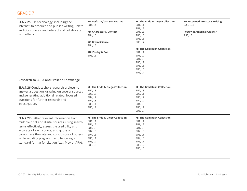| <b>ELA.7.25</b> Use technology, including the<br>Internet, to produce and publish writing, link to<br>and cite sources, and interact and collaborate<br>with others.<br><b>Research to Build and Present Knowledge</b>                                                                                                                           | 7A: Red Scarf Girl & Narrative<br>SU4, L4<br>7B: Character & Conflict<br>SU4, L5<br><b>7C: Brain Science</b><br>SU4, L5<br>7D: Poetry & Poe<br>SU5, L5 | 7E: The Frida & Diego Collection<br>SU1, L1<br>SU1, L2<br>SU1, L3<br>SU5, L5<br>SU5, L6<br>SU5, L7<br><b>7F: The Gold Rush Collection</b><br>SU1, L1<br>SU1, L2<br>SU1, L3<br>SU3, L2<br>SU5, L5<br>SU5, L6<br>SU5, L7 | 7G: Intermediate Story Writing<br>SU3, L23<br><b>Poetry in America: Grade 7</b><br>SU3, L3 |
|--------------------------------------------------------------------------------------------------------------------------------------------------------------------------------------------------------------------------------------------------------------------------------------------------------------------------------------------------|--------------------------------------------------------------------------------------------------------------------------------------------------------|------------------------------------------------------------------------------------------------------------------------------------------------------------------------------------------------------------------------|--------------------------------------------------------------------------------------------|
| <b>ELA.7.26</b> Conduct short research projects to<br>answer a question, drawing on several sources<br>and generating additional related, focused<br>questions for further research and<br>investigation.                                                                                                                                        | 7E: The Frida & Diego Collection<br>SU2, L3<br>SU3, L3<br>SU4, L2<br>SU4, L3<br>SU5, L1<br>SU5, L7                                                     | <b>7F: The Gold Rush Collection</b><br>SU2, L3<br>SU3, L1<br>SU3, L2<br>SU4, L2<br>SU4, L3<br>SU5, L1<br>SU5, L7                                                                                                       |                                                                                            |
| <b>ELA.7.27</b> Gather relevant information from<br>multiple print and digital sources, using search<br>terms effectively; assess the credibility and<br>accuracy of each source; and quote or<br>paraphrase the data and conclusions of others<br>while avoiding plagiarism and following a<br>standard format for citation (e.g., MLA or APA). | 7E: The Frida & Diego Collection<br>SU1, L1<br>SU1, L2<br>SU1, L3<br>SU2, L3<br>SU4, L3<br>SU5, L1<br>SU5, L2<br>SU5, L6                               | <b>7F: The Gold Rush Collection</b><br>SU1, L1<br>SU1, L2<br>SU1, L3<br>SU2, L3<br>SU3, L1<br>SU4, L3<br>SU5, L1<br>SU5, L2<br>SU5, L6                                                                                 |                                                                                            |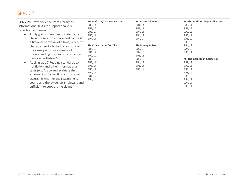| <b>ELA.7.28</b> Draw evidence from literary or<br>informational texts to support analysis,<br>reflection, and research.<br>Apply grade 7 Reading standards to<br>$\bullet$<br>literature (e.g., "compare and contrast<br>a fictional portrayal of a time, place, or<br>character and a historical account of<br>the same period as a means of<br>understanding how authors of fiction<br>use or alter history").<br>Apply grade 7 Reading standards to<br>$\bullet$<br>nonfiction and other informational<br>texts (e.g. "trace and evaluate the<br>argument and specific claims in a text,<br>assessing whether the reasoning is<br>sound and the evidence is relevant and<br>sufficient to support the claims"). | 7A: Red Scarf Girl & Narrative<br>SU3, L4<br>SU3, L5<br>SU3, L7<br>SU3, L11<br>SU4, L1<br>7B: Character & Conflict<br>SU1, L2<br>SU1, L4<br>SU2, L2<br>SU2, L8<br>SU2, L12<br>SU3, L1<br>SU3, L2<br>SU4, L1<br>SU4, L2<br>SU4, L4 | 7C: Brain Science<br>SU1, L4<br>SU3, L1<br>SU4, L1<br>SU4, L2<br>SU4, L4<br>7D: Poetry & Poe<br>SU2, L3<br>SU2, L5<br>SU3, L3<br>SU3, L5<br>SU4, L2<br>SU5, L1<br>SU5, L4 | 7E: The Frida & Diego Collection<br>SU2, L1<br>SU2, L2<br>SU2, L3<br>SU3, L1<br>SU3, L2<br>SU3, L3<br>SU4, L2<br>SU4, L3<br>SU5, L1<br>7F: The Gold Rush Collection<br>SU2, L2<br>SU2, L3<br>SU3, L1<br>SU3, L2<br>SU3, L3<br>SU4, L2<br>SU4, L3<br>SU5, L1 |
|--------------------------------------------------------------------------------------------------------------------------------------------------------------------------------------------------------------------------------------------------------------------------------------------------------------------------------------------------------------------------------------------------------------------------------------------------------------------------------------------------------------------------------------------------------------------------------------------------------------------------------------------------------------------------------------------------------------------|-----------------------------------------------------------------------------------------------------------------------------------------------------------------------------------------------------------------------------------|---------------------------------------------------------------------------------------------------------------------------------------------------------------------------|-------------------------------------------------------------------------------------------------------------------------------------------------------------------------------------------------------------------------------------------------------------|
|--------------------------------------------------------------------------------------------------------------------------------------------------------------------------------------------------------------------------------------------------------------------------------------------------------------------------------------------------------------------------------------------------------------------------------------------------------------------------------------------------------------------------------------------------------------------------------------------------------------------------------------------------------------------------------------------------------------------|-----------------------------------------------------------------------------------------------------------------------------------------------------------------------------------------------------------------------------------|---------------------------------------------------------------------------------------------------------------------------------------------------------------------------|-------------------------------------------------------------------------------------------------------------------------------------------------------------------------------------------------------------------------------------------------------------|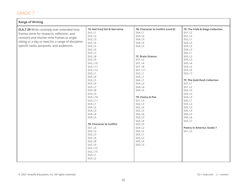| <b>Range of Writing</b>                             |                                |                                   |                                   |
|-----------------------------------------------------|--------------------------------|-----------------------------------|-----------------------------------|
| <b>ELA.7.29</b> Write routinely over extended time  | 7A: Red Scarf Girl & Narrative | 7B: Character & Conflict (cont'd) | 7E: The Frida & Diego Collection  |
| frames (time for research, reflection, and          | SU2, L1                        | SU4, L1                           | SU1, L2                           |
|                                                     | SU2, L2                        | SU4, L2                           | SU1, L3                           |
| revision) and shorter time frames (a single         | SU2, L3                        | SU4, L3                           | SU2, L1                           |
| sitting or a day or two) for a range of discipline- | SU2, L4                        | SU4, L4                           | SU2, L3                           |
| specific tasks, purposes, and audiences.            | SU2, L5                        | SU4, L5                           | SU3, L2                           |
|                                                     | SU2, L6                        |                                   | SU4, L3                           |
|                                                     | SU2, L7                        |                                   | SU5, L1                           |
|                                                     | SU2, L8                        | <b>7C: Brain Science</b>          | SU5, L2                           |
|                                                     | SU2, L9                        | SU1, L2                           | SU5, L3                           |
|                                                     | SU2, L10                       | SU1, L4                           | SU5, L4                           |
|                                                     | SU2, L11                       | <b>SU1, L8</b>                    | SU5, L5                           |
|                                                     | SU2, L12                       | SU1, L11                          | SU5, L6                           |
|                                                     | SU3, L1                        | SU2, L1                           | SU5, L7                           |
|                                                     | SU3, L4                        | SU3, L1                           |                                   |
|                                                     | SU3, L5                        | SU4, L1                           | 7F: The Gold Rush Collection      |
|                                                     | SU3, L6                        | SU4, L2                           | SU1, L1                           |
|                                                     | SU3, L7                        | SU4, L4                           | SU1, L2                           |
|                                                     | SU3, L8                        | SU4, L5                           | SU2, L3                           |
|                                                     | SU3, L9                        |                                   | SU3, L2                           |
|                                                     | SU3, L10                       | 7D: Poetry & Poe                  | SU4, L3                           |
|                                                     | SU3, L11                       | SU1, L3                           | SU5, L1                           |
|                                                     | SU4, L1                        | SU2, L3                           | SU5, L2                           |
|                                                     | SU4, L2                        | SU2, L4                           | SU5, L3                           |
|                                                     | SU4, L3                        | SU2, L5                           | SU5, L4                           |
|                                                     | SU4, L4                        | SU2, L6                           | SU5, L5                           |
|                                                     | SU4, L5                        | SU3, L3                           | SU5, L6                           |
|                                                     |                                | SU3, L4                           | SU5, L7                           |
|                                                     | 7B: Character & Conflict       | SU3, L5                           |                                   |
|                                                     | SU1, L4                        | SU4, L2                           | <b>Poetry in America: Grade 7</b> |
|                                                     | SU2, L2                        | SU4, L5                           | SU1, L3                           |
|                                                     | SU2, L3                        | SU5, L1                           |                                   |
|                                                     | SU2, L6                        | SU5, L2                           |                                   |
|                                                     | SU2, L8                        | SU5, L4                           |                                   |
|                                                     | SU2, L9                        | SU5, L5                           |                                   |
|                                                     | SU2, L12                       |                                   |                                   |
|                                                     | SU2, L15                       |                                   |                                   |
|                                                     | SU3, L1                        |                                   |                                   |
|                                                     | SU3, L2                        |                                   |                                   |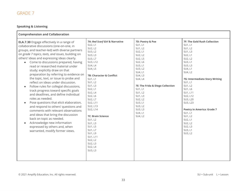#### **Speaking & Listening**

| <b>Comprehension and Collaboration</b>                                                                                                                                                                                                                                                                                                                                                                                                                                                                                                                                                                                                                                                                                                                                                                                                                                                                                                                                              |                                                                                                                                                                                                                                                                                                                                                                                                                            |                                                                                                                                                                                                                                                                                  |                                                                                                                                                                                                                                                                                                                                                                             |
|-------------------------------------------------------------------------------------------------------------------------------------------------------------------------------------------------------------------------------------------------------------------------------------------------------------------------------------------------------------------------------------------------------------------------------------------------------------------------------------------------------------------------------------------------------------------------------------------------------------------------------------------------------------------------------------------------------------------------------------------------------------------------------------------------------------------------------------------------------------------------------------------------------------------------------------------------------------------------------------|----------------------------------------------------------------------------------------------------------------------------------------------------------------------------------------------------------------------------------------------------------------------------------------------------------------------------------------------------------------------------------------------------------------------------|----------------------------------------------------------------------------------------------------------------------------------------------------------------------------------------------------------------------------------------------------------------------------------|-----------------------------------------------------------------------------------------------------------------------------------------------------------------------------------------------------------------------------------------------------------------------------------------------------------------------------------------------------------------------------|
| <b>ELA.7.30</b> Engage effectively in a range of<br>collaborative discussions (one-on-one, in<br>groups, and teacher-led) with diverse partners<br>on grade 7 topics, texts, and issues, building on<br>others' ideas and expressing ideas clearly.<br>Come to discussions prepared, having<br>$\bullet$<br>read or researched material under<br>study; explicitly draw on that<br>preparation by referring to evidence on<br>the topic, text, or issue to probe and<br>reflect on ideas under discussion.<br>Follow rules for collegial discussions,<br>$\bullet$<br>track progress toward specific goals<br>and deadlines, and define individual<br>roles as needed.<br>Pose questions that elicit elaboration,<br>$\bullet$<br>and respond to others' questions and<br>comments with relevant observations<br>and ideas that bring the discussion<br>back on topic as needed.<br>Acknowledge new information<br>expressed by others and, when<br>warranted, modify former views. | 7A: Red Scarf Girl & Narrative<br>SU2, L1<br>SU2, L2<br>SU3, L2<br>SU3, L3<br>SU3, L7<br>SU3, L12<br>SU4, L4<br>SU4, L5<br><b>7B: Character &amp; Conflict</b><br>SU1, L1<br>SU1, L2<br>SU1, L3<br>SU2, L1<br>SU2, L4<br>SU2, L6<br>SU2, L7<br>SU2, L11<br>SU2, L13<br>SU2, L14<br><b>7C: Brain Science</b><br>SU1, L2<br>SU1, L3<br>SU1, L5<br>SU1, L7<br>SU1, L9<br>SU1, L11<br>SU2, L2<br>SU2, L3<br>SU2, L4<br>SU3, L3 | 7D: Poetry & Poe<br>SU1, L1<br>SU1, L2<br>SU2, L1<br>SU2, L2<br>SU2, L5<br>SU2, L6<br>SU3, L1<br>SU3, L2<br>SU4, L1<br>SU4, L3<br>SU4, L4<br>7E: The Frida & Diego Collection<br>SU1, L1<br>SU1, L2<br>SU1, L3<br>SU2, L2<br>SU3, L1<br>SU3, L2<br>SU3, L3<br>SU4, L1<br>SU4, L2 | <b>7F: The Gold Rush Collection</b><br>SU1, L1<br>SU1, L2<br>SU1, L3<br>SU2, L1<br>SU2, L2<br>SU3, L1<br>SU3, L3<br>SU4, L1<br>SU4, L2<br>7G: Intermediate Story Writing<br>SU1, L1<br>SU1, L2<br>SU1, L6<br>SU1, L11<br>SU2, L12<br>SU3, L20<br>SU3, L23<br><b>Poetry in America: Grade 7</b><br>SU1, L1<br>SU1, L2<br>SU2, L1<br>SU2, L2<br>SU2, L3<br>SU3, L1<br>SU3, L2 |
|                                                                                                                                                                                                                                                                                                                                                                                                                                                                                                                                                                                                                                                                                                                                                                                                                                                                                                                                                                                     |                                                                                                                                                                                                                                                                                                                                                                                                                            |                                                                                                                                                                                                                                                                                  |                                                                                                                                                                                                                                                                                                                                                                             |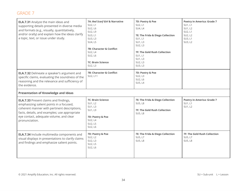| <b>ELA.7.31</b> Analyze the main ideas and<br>supporting details presented in diverse media<br>and formats (e.g., visually, quantitatively,<br>and/or orally) and explain how the ideas clarify<br>a topic, text, or issue under study.                | 7A: Red Scarf Girl & Narrative<br>SU2, L1<br>SU2, L6<br>SU2, L9<br>SU3, L1<br>SU3, L3<br>SU4, L5<br><b>7B: Character &amp; Conflict</b><br>SU2, L4<br>SU2, L6<br><b>7C: Brain Science</b><br>SU2, L3 | 7D: Poetry & Poe<br>SU2, L1<br>SU4, L4<br>7E: The Frida & Diego Collection<br>SU1, L1<br>SU1, L3<br>SU2, L3<br><b>7F: The Gold Rush Collection</b><br>SU1, L1<br>SU1, L3<br>SU2, L3<br>SU3, L3 | <b>Poetry in America: Grade 7</b><br>SU1, L1<br>SU1, L2<br>SU2, L1<br>SU2, L2<br>SU3, L1<br>SU3, L2 |
|--------------------------------------------------------------------------------------------------------------------------------------------------------------------------------------------------------------------------------------------------------|------------------------------------------------------------------------------------------------------------------------------------------------------------------------------------------------------|------------------------------------------------------------------------------------------------------------------------------------------------------------------------------------------------|-----------------------------------------------------------------------------------------------------|
| <b>ELA.7.32</b> Delineate a speaker's argument and<br>specific claims, evaluating the soundness of the<br>reasoning and the relevance and sufficiency of<br>the evidence.                                                                              | <b>7B: Character &amp; Conflict</b><br>SU2, L11                                                                                                                                                      | 7D: Poetry & Poe<br>SU2, L3<br>SU2, L6<br>SU5, L4                                                                                                                                              |                                                                                                     |
| <b>Presentation of Knowledge and Ideas</b>                                                                                                                                                                                                             |                                                                                                                                                                                                      |                                                                                                                                                                                                |                                                                                                     |
| <b>ELA.7.33</b> Present claims and findings,<br>emphasizing salient points in a focused,<br>coherent manner with pertinent descriptions,<br>facts, details, and examples; use appropriate<br>eye contact, adequate volume, and clear<br>pronunciation. | <b>7C: Brain Science</b><br>SU1, L2<br>SU1, L3<br>SU1, L9<br>7D: Poetry & Poe<br>SU2, L4<br>SU2, L5<br>SU2, L6                                                                                       | 7E: The Frida & Diego Collection<br>SU5, L8<br><b>7F: The Gold Rush Collection</b><br>SU5, L8                                                                                                  | <b>Poetry in America: Grade 7</b><br>SU1, L1<br>SU1, L2                                             |
| ELA.7.34 Include multimedia components and<br>visual displays in presentations to clarify claims<br>and findings and emphasize salient points.                                                                                                         | 7D: Poetry & Poe<br>SU2, L2<br>SU2, L3<br>SU2, L5<br>SU2, L6                                                                                                                                         | 7E: The Frida & Diego Collection<br>SU5, L7<br>SU5, L8                                                                                                                                         | <b>7F: The Gold Rush Collection</b><br>SU5, L7<br>SU5, L8                                           |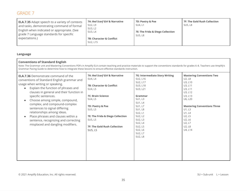| <b>ELA.7.35</b> Adapt speech to a variety of contexts<br>and tasks, demonstrating command of formal<br>English when indicated or appropriate. (See<br>grade 7 Language standards for specific<br>expectations.) | 7A: Red Scarf Girl & Narrative<br>SU2, L9<br>SU3, L2<br>SU3, L4<br><b>7B: Character &amp; Conflict</b> | 7D: Poetry & Poe<br>SU4, L1<br>7E: The Frida & Diego Collection<br>SU5, L8 | 7F: The Gold Rush Collection<br>SU5, L8 |
|-----------------------------------------------------------------------------------------------------------------------------------------------------------------------------------------------------------------|--------------------------------------------------------------------------------------------------------|----------------------------------------------------------------------------|-----------------------------------------|
|                                                                                                                                                                                                                 | SU2, L15                                                                                               |                                                                            |                                         |

#### **Language**

#### **Conventions of Standard English**

Note: The Grammar unit and Mastering Conventions PDFs in Amplify ELA contain teaching and practice materials to support the conventions standards for grades 6–8. Teachers use Amplify's Grammar Pacing Guide to determine how to integrate these lessons to ensure effective standards instruction. 

| 7A: Red Scarf Girl & Narrative<br><b>ELA.7.36</b> Demonstrate command of the<br>SU4, L4<br>conventions of Standard English grammar and<br>usage when writing or speaking.<br><b>7B: Character &amp; Conflict</b><br>Explain the function of phrases and<br>$\bullet$<br>SU4, L5<br>clauses in general and their function in<br><b>7C: Brain Science</b><br>specific sentences.<br>SU4, L5<br>Choose among simple, compound,<br>complex, and compound-complex<br>7D: Poetry & Poe<br>sentences to signal differing<br>SU5, L5<br>relationships among ideas.<br>Place phrases and clauses within a<br>7E: The Frida & Diego Collection<br>SU5, L5<br>sentence, recognizing and correcting<br>misplaced and dangling modifiers.<br><b>7F: The Gold Rush Collection</b><br>SU5, L5 | 7G: Intermediate Story Writing<br>SU2, L16<br>SU2, L17<br>SU3, L18<br>SU3, L21<br>Grammar<br>SU1, L3<br>SU1, L4<br>SU1, L7<br><b>SU1, L8</b><br>SU2, L1<br>SU2, L2<br>SU2, L3<br>SU2, L4<br>SU2, L5<br>SU2, L6<br>SU2, L7<br><b>SU2, L8</b> | <b>Mastering Conventions Two</b><br>U2, L8<br>U3, L10<br>U3, L11<br>U3, L11<br>U3, L12<br>U3, L13<br>U6, L20<br><b>Mastering Conventions Three</b><br>U1, L3<br>U1, L4<br>U2, L5<br>U2, L6<br>U2, L7<br>U2, L8<br>U4, L14 |
|--------------------------------------------------------------------------------------------------------------------------------------------------------------------------------------------------------------------------------------------------------------------------------------------------------------------------------------------------------------------------------------------------------------------------------------------------------------------------------------------------------------------------------------------------------------------------------------------------------------------------------------------------------------------------------------------------------------------------------------------------------------------------------|---------------------------------------------------------------------------------------------------------------------------------------------------------------------------------------------------------------------------------------------|---------------------------------------------------------------------------------------------------------------------------------------------------------------------------------------------------------------------------|
|--------------------------------------------------------------------------------------------------------------------------------------------------------------------------------------------------------------------------------------------------------------------------------------------------------------------------------------------------------------------------------------------------------------------------------------------------------------------------------------------------------------------------------------------------------------------------------------------------------------------------------------------------------------------------------------------------------------------------------------------------------------------------------|---------------------------------------------------------------------------------------------------------------------------------------------------------------------------------------------------------------------------------------------|---------------------------------------------------------------------------------------------------------------------------------------------------------------------------------------------------------------------------|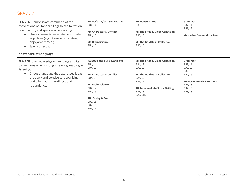| <b>ELA.7.37</b> Demonstrate command of the<br>conventions of Standard English capitalization,<br>punctuation, and spelling when writing.<br>Use a comma to separate coordinate<br>$\bullet$<br>adjectives (e.g., It was a fascinating,<br>enjoyable movie.).<br>Spell correctly.<br>$\bullet$ | 7A: Red Scarf Girl & Narrative<br>SU4, L4<br>7B: Character & Conflict<br>SU4, L5<br><b>7C: Brain Science</b><br>SU4, L5                                                                            | 7D: Poetry & Poe<br>SU5, L5<br>7E: The Frida & Diego Collection<br>SU5, L5<br><b>7F: The Gold Rush Collection</b><br>SU5, L5                                          | Grammar<br>SU7, L1<br>SU7, L2<br><b>Mastering Conventions Four</b>                                                        |
|-----------------------------------------------------------------------------------------------------------------------------------------------------------------------------------------------------------------------------------------------------------------------------------------------|----------------------------------------------------------------------------------------------------------------------------------------------------------------------------------------------------|-----------------------------------------------------------------------------------------------------------------------------------------------------------------------|---------------------------------------------------------------------------------------------------------------------------|
| <b>Knowledge of Language</b>                                                                                                                                                                                                                                                                  |                                                                                                                                                                                                    |                                                                                                                                                                       |                                                                                                                           |
| <b>ELA.7.38</b> Use knowledge of language and its<br>conventions when writing, speaking, reading, or<br>listening.<br>Choose language that expresses ideas<br>$\bullet$<br>precisely and concisely, recognizing<br>and eliminating wordiness and<br>redundancy.                               | 7A: Red Scarf Girl & Narrative<br>SU4, L4<br>SU4, L5<br>7B: Character & Conflict<br>SU4, L5<br><b>7C: Brain Science</b><br>SU2, L4<br>SU4, L5<br>7D: Poetry & Poe<br>SU2, L5<br>SU2, L6<br>SU5, L5 | 7E: The Frida & Diego Collection<br>SU4, L2<br>SU5, L5<br>7F: The Gold Rush Collection<br>SU4, L2<br>SU5, L5<br>7G: Intermediate Story Writing<br>SU1, L3<br>SU2, L16 | Grammar<br>SU2, L1<br>SU2, L2<br>SU2, L5<br>SU2, L6<br><b>Poetry in America: Grade 7</b><br>SU1, L3<br>SU2, L3<br>SU3, L3 |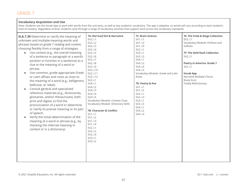#### **Vocabulary Acquisition and Use**

Note: Students use the Vocab App to work with words from the unit texts, as well as key academic vocabulary. The app is adaptive, so words will vary according to each student's level of mastery. Regardless of level, students cycle through a range of vocabulary activities that support work across the vocabulary standards. 

| <b>ELA.7.39</b> Determine or clarify the meaning of<br>unknown and multiple-meaning words and<br>phrases based on grade 7 reading and content,<br>choosing flexibly from a range of strategies.<br>Use context (e.g., the overall meaning<br>$\bullet$<br>of a sentence or paragraph or a word's<br>position or function in a sentence) as a<br>clue to the meaning of a word or<br>phrase.<br>Use common, grade-appropriate Greek<br>$\bullet$<br>or Latin affixes and roots as clues to<br>the meaning of a word (e.g., belligerent,<br>bellicose, or rebel).<br>Consult general and specialized<br>$\bullet$<br>reference materials (e.g., dictionaries,<br>glossaries, and/or thesauruses), both<br>print and digital, to find the<br>pronunciation of a word or determine<br>or clarify its precise meaning or its part<br>of speech.<br>Verify the initial determination of the<br>$\bullet$<br>meaning of a word or phrase (e.g., by<br>checking the inferred meaning in<br>context or in a dictionary). | 7A: Red Scarf Girl & Narrative<br>SU2, L1<br>SU2, L2<br>SU2, L3<br>SU2, L4<br>SU2, L5<br>SU2, L6<br>SU2, L7<br>SU2, L8<br>SU2, L9<br>SU2, L10<br>SU2, L11<br>SU2, L12<br>SU3, L1<br>SU4, L1<br>SU4, L2<br>SU4, L3<br>SU4, L4<br>SU4, L5<br>Vocabulary Module: Context Clues<br>Vocabulary Module: Dictionary Skills<br>7B: Character & Conflict<br>SU1, L1<br>SU1, L2<br>SU1, L3<br>SU1, L4<br>SU2, L1<br>SU2, L2<br>SU2, L4<br>SU3, L1<br>SU3, L2 | <b>7C: Brain Science</b><br>SU1, L1<br>SU1, L3<br>SU1, L9<br>SU2, L1<br>SU3, L1<br>SU3, L3<br>SU4, L1<br>SU4, L2<br>SU4, L4<br>SU4, L5<br>Vocabulary Module: Greek and Latin<br>Roots<br>7D: Poetry & Poe<br>SU1, L1<br>SU1, L2<br>SU2, L1<br>SU2, L3<br>SU3, L1<br>SU3, L5<br>SU4, L1<br>SU4, L2<br>SU4, L3 | 7E: The Frida & Diego Collection<br>SU2, L1<br>Vocabulary Module: Prefixes and<br>Suffixes<br>7F: The Gold Rush Collection<br>SU2, L1<br><b>Poetry in America: Grade 7</b><br>SU2, L1<br><b>Vocab App</b><br>Narrative Multiple Choice<br>Roots Exist<br><b>Totally ReDictionary</b> |
|-----------------------------------------------------------------------------------------------------------------------------------------------------------------------------------------------------------------------------------------------------------------------------------------------------------------------------------------------------------------------------------------------------------------------------------------------------------------------------------------------------------------------------------------------------------------------------------------------------------------------------------------------------------------------------------------------------------------------------------------------------------------------------------------------------------------------------------------------------------------------------------------------------------------------------------------------------------------------------------------------------------------|----------------------------------------------------------------------------------------------------------------------------------------------------------------------------------------------------------------------------------------------------------------------------------------------------------------------------------------------------------------------------------------------------------------------------------------------------|--------------------------------------------------------------------------------------------------------------------------------------------------------------------------------------------------------------------------------------------------------------------------------------------------------------|--------------------------------------------------------------------------------------------------------------------------------------------------------------------------------------------------------------------------------------------------------------------------------------|
|-----------------------------------------------------------------------------------------------------------------------------------------------------------------------------------------------------------------------------------------------------------------------------------------------------------------------------------------------------------------------------------------------------------------------------------------------------------------------------------------------------------------------------------------------------------------------------------------------------------------------------------------------------------------------------------------------------------------------------------------------------------------------------------------------------------------------------------------------------------------------------------------------------------------------------------------------------------------------------------------------------------------|----------------------------------------------------------------------------------------------------------------------------------------------------------------------------------------------------------------------------------------------------------------------------------------------------------------------------------------------------------------------------------------------------------------------------------------------------|--------------------------------------------------------------------------------------------------------------------------------------------------------------------------------------------------------------------------------------------------------------------------------------------------------------|--------------------------------------------------------------------------------------------------------------------------------------------------------------------------------------------------------------------------------------------------------------------------------------|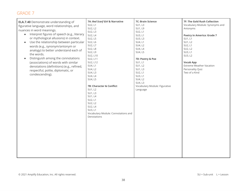| <b>ELA.7.40</b> Demonstrate understanding of<br>figurative language, word relationships, and<br>nuances in word meanings.<br>Interpret figures of speech (e.g., literary<br>$\bullet$<br>or mythological allusions) in context.<br>Use the relationship between particular<br>$\bullet$<br>words (e.g., synonym/antonym or<br>analogy) to better understand each of<br>the words.<br>Distinguish among the connotations<br>$\bullet$<br>(associations) of words with similar<br>denotations (definitions) (e.g., refined,<br>respectful, polite, diplomatic, or<br>condescending). | 7A: Red Scarf Girl & Narrative<br>SU2, L1<br>SU2, L2<br>SU2, L3<br>SU2, L4<br>SU2, L5<br>SU2, L6<br>SU2, L7<br>SU2, L8<br>SU2, L9<br>SU2, L10<br>SU2, L11<br>SU2, L12<br>SU4, L1<br>SU4, L2<br>SU4, L3<br>SU4, L4<br>SU4, L5<br>7B: Character & Conflict<br>SU1, L2<br>SU1, L3<br>SU1, L4<br>SU2, L1<br>SU2, L2<br>SU2, L4<br>SU3, L1<br>Vocabulary Module: Connotations and<br>Denotations | 7C: Brain Science<br>SU1, L3<br>SU1, L9<br>SU2, L1<br>SU3, L1<br>SU3, L3<br>SU4, L1<br>SU4, L2<br>SU4, L4<br>SU4, L5<br>7D: Poetry & Poe<br>SU1, L1<br>SU1, L2<br>SU1, L3<br>SU2, L1<br>SU3, L1<br>SU4, L2<br>SU4, L3<br>Vocabulary Module: Figurative<br>Language | 7F: The Gold Rush Collection<br>Vocabulary Module: Synonyms and<br>Antonyms<br><b>Poetry in America: Grade 7</b><br>SU1, L1<br>SU1, L2<br>SU2, L1<br>SU2, L2<br>SU3, L1<br>SU3, L2<br><b>Vocab App</b><br><b>Extreme Weather Vacation</b><br>Personality Quiz<br>Two of a Kind |
|------------------------------------------------------------------------------------------------------------------------------------------------------------------------------------------------------------------------------------------------------------------------------------------------------------------------------------------------------------------------------------------------------------------------------------------------------------------------------------------------------------------------------------------------------------------------------------|---------------------------------------------------------------------------------------------------------------------------------------------------------------------------------------------------------------------------------------------------------------------------------------------------------------------------------------------------------------------------------------------|--------------------------------------------------------------------------------------------------------------------------------------------------------------------------------------------------------------------------------------------------------------------|--------------------------------------------------------------------------------------------------------------------------------------------------------------------------------------------------------------------------------------------------------------------------------|
|                                                                                                                                                                                                                                                                                                                                                                                                                                                                                                                                                                                    |                                                                                                                                                                                                                                                                                                                                                                                             |                                                                                                                                                                                                                                                                    |                                                                                                                                                                                                                                                                                |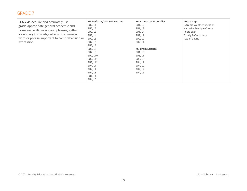| <b>ELA.7.41</b> Acquire and accurately use<br>grade-appropriate general academic and<br>domain-specific words and phrases; gather<br>vocabulary knowledge when considering a<br>word or phrase important to comprehension or<br>expression. | 7A: Red Scarf Girl & Narrative<br>SU2, L1<br>SU2, L2<br>SU2, L3<br>SU2, L4<br>SU2, L5<br>SU2, L6<br>SU2, L7<br><b>SU2, L8</b><br>SU2, L9<br>SU2, L10<br>SU2, L11<br>SU2, L12<br>SU4, L1<br>SU4, L2<br>SU4, L3<br>SU4, L4<br>SU4, L5 | <b>7B: Character &amp; Conflict</b><br>SU1, L2<br>SU1, L3<br>SU1, L4<br>SU2, L1<br>SU2, L2<br>SU2, L4<br><b>7C: Brain Science</b><br>SU1, L9<br>SU3, L1<br>SU3, L3<br>SU4, L1<br>SU4, L2<br>SU4, L4<br>SU4, L5 | <b>Vocab App</b><br><b>Extreme Weather Vacation</b><br>Narrative Multiple Choice<br>Roots Exist<br><b>Totally ReDictionary</b><br>Two of a Kind |
|---------------------------------------------------------------------------------------------------------------------------------------------------------------------------------------------------------------------------------------------|-------------------------------------------------------------------------------------------------------------------------------------------------------------------------------------------------------------------------------------|----------------------------------------------------------------------------------------------------------------------------------------------------------------------------------------------------------------|-------------------------------------------------------------------------------------------------------------------------------------------------|
|---------------------------------------------------------------------------------------------------------------------------------------------------------------------------------------------------------------------------------------------|-------------------------------------------------------------------------------------------------------------------------------------------------------------------------------------------------------------------------------------|----------------------------------------------------------------------------------------------------------------------------------------------------------------------------------------------------------------|-------------------------------------------------------------------------------------------------------------------------------------------------|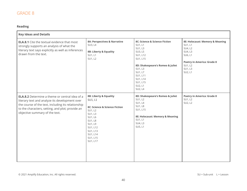#### **Reading**

| <b>Key Ideas and Details</b>                                                                                                                                                                                                                        |                                                                                                                                                                                              |                                                                                                                                                                                                            |                                                                                                                                                   |
|-----------------------------------------------------------------------------------------------------------------------------------------------------------------------------------------------------------------------------------------------------|----------------------------------------------------------------------------------------------------------------------------------------------------------------------------------------------|------------------------------------------------------------------------------------------------------------------------------------------------------------------------------------------------------------|---------------------------------------------------------------------------------------------------------------------------------------------------|
| <b>ELA.8.1</b> Cite the textual evidence that most<br>strongly supports an analysis of what the<br>literary text says explicitly as well as inferences<br>drawn from the text.                                                                      | 8A: Perspectives & Narrative<br>SU3, L4<br>8B: Liberty & Equality<br>SU1, L1<br>SU1, L2                                                                                                      | 8C: Science & Science Fiction<br>SU1, L1<br>SU1, L3<br>SU3, L5<br>SU1, L12<br>SU1, L15<br>8D: Shakespeare's Romeo & Juliet<br>SU1, L3<br>SU1, L7<br>SU1, L11<br>SU1, L14<br>SU1, L15<br>SU2, L1<br>SU2, L4 | 8E: Holocaust: Memory & Meaning<br>SU1, L1<br>SU4, L2<br>SU4, L3<br>SU6, L1<br><b>Poetry in America: Grade 8</b><br>SU1, L2<br>SU1, L3<br>SU2, L1 |
| <b>ELA.8.2</b> Determine a theme or central idea of a<br>literary text and analyze its development over<br>the course of the text, including its relationship<br>to the characters, setting, and plot; provide an<br>objective summary of the text. | 8B: Liberty & Equality<br>SU1, L1<br>8C: Science & Science Fiction<br>SU1, L2<br>SU1, L3<br>SU1, L6<br><b>SU1, L8</b><br>SU1, L9<br>SU1, L12<br>SU1, L13<br>SU1, L14<br>SU1, L15<br>SU1, L17 | 8D: Shakespeare's Romeo & Juliet<br>SU1, L2<br>SU1, L4<br><b>SU1, L8</b><br>SU1, L15<br>8E: Holocaust: Memory & Meaning<br>SU1, L1<br>SU4, L3<br>SU5, L1                                                   | <b>Poetry in America: Grade 8</b><br>SU1, L2<br>SU2, L2                                                                                           |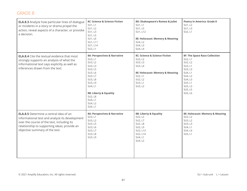| <b>ELA.8.3</b> Analyze how particular lines of dialogue<br>or incidents in a story or drama propel the<br>action, reveal aspects of a character, or provoke<br>a decision.                                                      | 8C: Science & Science Fiction<br>SU1, L1<br>SU1, L2<br>SU1, L3<br>SU1, L5<br>SU1, L6<br>SU1, L11<br>SU1, L14<br>SU2, L1                                                                               | 8D: Shakespeare's Romeo & Juliet<br>SU1, L1<br>SU1, L5<br>SU1, L12<br>8E: Holocaust: Memory & Meaning<br>SU4, L2<br>SU4, L3<br>SU4, L4        | <b>Poetry in America: Grade 8</b><br>SU1, L2<br>SU1, L3<br>SU2, L1                                                                                            |
|---------------------------------------------------------------------------------------------------------------------------------------------------------------------------------------------------------------------------------|-------------------------------------------------------------------------------------------------------------------------------------------------------------------------------------------------------|-----------------------------------------------------------------------------------------------------------------------------------------------|---------------------------------------------------------------------------------------------------------------------------------------------------------------|
| <b>ELA.8.4</b> Cite the textual evidence that most<br>strongly supports an analysis of what the<br>informational text says explicitly as well as<br>inferences drawn from the text.                                             | 8A: Perspectives & Narrative<br>SU3, L1<br>SU3, L2<br>SU3, L3<br>SU3, L5<br>SU3, L6<br>SU3, L7<br>SU3, L8<br>SU3, L9<br>SU4, L1<br>8B: Liberty & Equality<br>SU2, L8<br>SU4, L1<br>SU4, L2<br>SU6, L1 | 8C: Science & Science Fiction<br>SU3, L2<br>SU3, L3<br>SU3, L4<br>8E: Holocaust: Memory & Meaning<br>SU2, L1<br>SU2, L2<br>SU3, L1<br>SU3, L2 | <b>8F: The Space Race Collection</b><br>SU2, L1<br>SU2, L2<br>SU3, L1<br>SU3, L3<br>SU4, L1<br>SU4, L2<br>SU4, L3<br>SU5, L1<br>SU5, L3<br>SU5, L5<br>SU5, L6 |
| <b>ELA.8.5</b> Determine a central idea of an<br>informational text and analyze its development<br>over the course of the text, including its<br>relationship to supporting ideas; provide an<br>objective summary of the text. | 8A: Perspectives & Narrative<br>SU3, L1<br>SU3, L2<br>SU3, L5<br>SU3, L6<br>SU3, L7<br>SU3, L8<br>SU3, L9                                                                                             | 8B: Liberty & Equality<br>SU2, L2<br>SU2, L7<br>SU2, L8<br>SU2, L9<br>SU2, L13<br>SU2, L14<br>SU4, L1<br>SU4, L2                              | 8E: Holocaust: Memory & Meaning<br>SU2, L2<br>SU3, L2<br>SU3, L3<br>SU4, L1<br>SU4, L4<br>SU5, L1                                                             |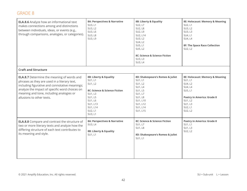| <b>ELA.8.6</b> Analyze how an informational text<br>makes connections among and distinctions<br>between individuals, ideas, or events (e.g.,<br>through comparisons, analogies, or categories).                                                                                | 8A: Perspectives & Narrative<br>SU3, L1<br>SU3, L2<br>SU3, L6<br><b>SU3, L8</b><br>SU3, L9                                                                          | 8B: Liberty & Equality<br>SU2, L7<br>SU2, L8<br>SU2, L9<br>SU2, L14<br>SU3, L2<br>SU4, L2<br>SU5, L1<br>SU5, L2<br>8C: Science & Science Fiction<br>SU3, L3<br>SU3, L4 | 8E: Holocaust: Memory & Meaning<br>SU2, L1<br>SU3, L2<br>SU3, L3<br>SU4, L1<br>SU4, L4<br><b>8F: The Space Race Collection</b><br>SU2, L2                    |
|--------------------------------------------------------------------------------------------------------------------------------------------------------------------------------------------------------------------------------------------------------------------------------|---------------------------------------------------------------------------------------------------------------------------------------------------------------------|------------------------------------------------------------------------------------------------------------------------------------------------------------------------|--------------------------------------------------------------------------------------------------------------------------------------------------------------|
| <b>Craft and Structure</b>                                                                                                                                                                                                                                                     |                                                                                                                                                                     |                                                                                                                                                                        |                                                                                                                                                              |
| <b>ELA.8.7</b> Determine the meaning of words and<br>phrases as they are used in a literary text,<br>including figurative and connotative meanings;<br>analyze the impact of specific word choices on<br>meaning and tone, including analogies or<br>allusions to other texts. | 8B: Liberty & Equality<br>SU1, L1<br>SU1, L2<br>8C: Science & Science Fiction<br>SU1, L3<br><b>SU1, L5</b><br>SU1, L6<br>SU1, L13<br>SU1, L14<br>SU2, L1<br>SU3, L1 | 8D: Shakespeare's Romeo & Juliet<br>SU1, L1<br>SU1, L2<br>SU1, L4<br>SU1, L5<br>SU1, L7<br><b>SU1, L8</b><br>SU1, L10<br>SU1, L12<br>SU1, L14<br>SU1, L15              | 8E: Holocaust: Memory & Meaning<br>SU1, L1<br>SU4, L2<br>SU4, L4<br>SU5, L1<br><b>Poetry in America: Grade 8</b><br>SU1, L2<br>SU1, L3<br>SU2, L1<br>SU2, L2 |
| <b>ELA.8.8</b> Compare and contrast the structure of<br>two or more literary texts and analyze how the<br>differing structure of each text contributes to<br>its meaning and style.                                                                                            | 8A: Perspectives & Narrative<br>SU3, L4<br>8B: Liberty & Equality<br>SU1, L1                                                                                        | 8C: Science & Science Fiction<br>SU1, L7<br><b>SU1, L8</b><br>8D: Shakespeare's Romeo & Juliet<br>SU1, L1                                                              | <b>Poetry in America: Grade 8</b><br>SU1, L1<br><b>SU1, L3</b><br>SU2, L2                                                                                    |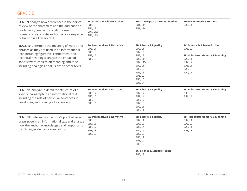| <b>ELA.8.9</b> Analyze how differences in the points<br>of view of the characters and the audience or<br>reader (e.g., created through the use of<br>dramatic irony) create such effects as suspense<br>or humor in a literary text.                                                              | 8C: Science & Science Fiction<br><b>SU1, L3</b><br><b>SU1, L8</b><br>SU1, L12<br>SU1, L13 | 8D: Shakespeare's Romeo & Juliet<br>SU1, L11<br>SU1, L14                                                                                                   | <b>Poetry in America: Grade 8</b><br>SU2, L1                                                                                       |
|---------------------------------------------------------------------------------------------------------------------------------------------------------------------------------------------------------------------------------------------------------------------------------------------------|-------------------------------------------------------------------------------------------|------------------------------------------------------------------------------------------------------------------------------------------------------------|------------------------------------------------------------------------------------------------------------------------------------|
| <b>ELA.8.10</b> Determine the meaning of words and<br>phrases as they are used in an informational<br>text, including figurative, connotative, and<br>technical meanings; analyze the impact of<br>specific word choices on meaning and tone,<br>including analogies or allusions to other texts. | 8A: Perspectives & Narrative<br>SU3, L1<br>SU3, L3<br>SU3, L5<br>SU3, L6                  | 8B: Liberty & Equality<br>SU2, L1<br>SU2, L6<br>SU2, L8<br>SU2, L11<br>SU2, L13<br>SU2, L14<br>SU3, L2<br>SU5, L1<br>SU5, L2<br>SU5, L3<br>SU5, L4         | 8C: Science & Science Fiction<br>SU3, L2<br>8E: Holocaust: Memory & Meaning<br>SU2, L1<br>SU2, L2<br>SU3, L1<br>SU3, L3<br>SU4, L1 |
| <b>ELA.8.11</b> Analyze in detail the structure of a<br>specific paragraph in an informational text,<br>including the role of particular sentences in<br>developing and refining a key concept.                                                                                                   | 8A: Perspectives & Narrative<br>SU3, L2<br>SU3, L3<br>SU3, L5<br>SU3, L6                  | 8B: Liberty & Equality<br>SU2, L2<br>SU2, L4<br>SU2, L7<br>SU2, L9<br>SU2, L11<br>SU3, L1                                                                  | 8E: Holocaust: Memory & Meaning<br>SU3, L3<br>SU4, L4                                                                              |
| <b>ELA.8.12</b> Determine an author's point of view<br>or purpose in an informational text and analyze<br>how the author acknowledges and responds to<br>conflicting evidence or viewpoints.                                                                                                      | 8A: Perspectives & Narrative<br>SU3, L3<br>SU3, L6<br>SU3, L7<br>SU3, L8<br>SU3, L9       | 8B: Liberty & Equality<br>SU2, L1<br>SU2, L3<br>SU2, L4<br>SU2, L6<br>SU2, L9<br>SU3, L1<br>SU3, L2<br>SU5, L2<br>8C: Science & Science Fiction<br>SU3, L2 | 8E: Holocaust: Memory & Meaning<br>SU2, L1<br>SU2, L2<br>SU3, L1<br>SU3, L3                                                        |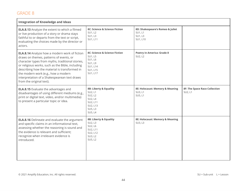| <b>Integration of Knowledge and Ideas</b>                                                                                                                                                                                                                                                                                                                                   |                                                                                                       |                                                                    |                                                 |
|-----------------------------------------------------------------------------------------------------------------------------------------------------------------------------------------------------------------------------------------------------------------------------------------------------------------------------------------------------------------------------|-------------------------------------------------------------------------------------------------------|--------------------------------------------------------------------|-------------------------------------------------|
| <b>ELA.8.13</b> Analyze the extent to which a filmed<br>or live production of a story or drama stays<br>faithful to or departs from the text or script,<br>evaluating the choices made by the director or<br>actors.                                                                                                                                                        | 8C: Science & Science Fiction<br>SU1, L2<br>SU1, L3<br>SU1, L11                                       | 8D: Shakespeare's Romeo & Juliet<br>SU1, L1<br>SU1, L3<br>SU1, L10 |                                                 |
| <b>ELA.8.14</b> Analyze how a modern work of fiction<br>draws on themes, patterns of events, or<br>character types from myths, traditional stories,<br>or religious works, such as the Bible, including<br>describing how the material is transformed in<br>the modern work (e.g., how a modern<br>interpretation of a Shakespearean text draws<br>from the original text). | 8C: Science & Science Fiction<br>SU1, L5<br>SU1, L6<br>SU1, L9<br>SU1, L14<br>SU1, L15<br>SU1, L17    | <b>Poetry in America: Grade 8</b><br>SU2, L2                       |                                                 |
| <b>ELA.8.15</b> Evaluate the advantages and<br>disadvantages of using different mediums (e.g.,<br>print or digital text, video, and/or multimedia)<br>to present a particular topic or idea.                                                                                                                                                                                | 8B: Liberty & Equality<br>SU2, L1<br>SU2, L2<br>SU2, L4<br>SU2, L11<br>SU2, L13<br>SU5, L3<br>SU5, L4 | 8E: Holocaust: Memory & Meaning<br>SU3, L1<br>SU5, L1              | <b>8F: The Space Race Collection</b><br>SU2, L1 |
| <b>ELA.8.16</b> Delineate and evaluate the argument<br>and specific claims in an informational text,<br>assessing whether the reasoning is sound and<br>the evidence is relevant and sufficient;<br>recognize when irrelevant evidence is<br>introduced.                                                                                                                    | 8B: Liberty & Equality<br>SU2, L3<br>SU2, L6<br>SU2, L11<br>SU2, L12<br>SU3, L2<br>SU5, L2            | 8E: Holocaust: Memory & Meaning<br>SU3, L3                         |                                                 |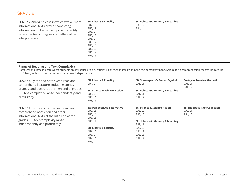| <b>ELA.8.17</b> Analyze a case in which two or more<br>informational texts provide conflicting<br>information on the same topic and identify<br>where the texts disagree on matters of fact or<br>interpretation. | 8B: Liberty & Equality<br>SU2, L3<br>SU2, L9<br>SU3, L1<br>SU3, L2<br>SU5, L1<br>SU5, L2<br>SU6, L1<br>SU6, L2<br>SU6, L4<br>SU6, L5                                                                                                                  | 8E: Holocaust: Memory & Meaning<br>SU2, L2<br>SU4, L4                                                                                         |                                                            |  |  |
|-------------------------------------------------------------------------------------------------------------------------------------------------------------------------------------------------------------------|-------------------------------------------------------------------------------------------------------------------------------------------------------------------------------------------------------------------------------------------------------|-----------------------------------------------------------------------------------------------------------------------------------------------|------------------------------------------------------------|--|--|
| <b>Range of Reading and Text Complexity</b>                                                                                                                                                                       | Note: Lessons listed indicate where students are introduced to a new unit text or texts that fall within the text complexity band. Solo reading comprehension reports indicate the<br>proficiency with which students read these texts independently. |                                                                                                                                               |                                                            |  |  |
| <b>ELA.8.18</b> By the end of the year, read and<br>comprehend literature, including stories,<br>dramas, and poetry, at the high end of grades<br>6-8 text complexity range independently and<br>proficiently.    | 8B: Liberty & Equality<br>SU1, L1<br>8C: Science & Science Fiction<br>SU1, L1<br>SU3, L1<br>SU3, L5                                                                                                                                                   | 8D: Shakespeare's Romeo & Juliet<br>SU1, L1<br>8E: Holocaust: Memory & Meaning<br>SU1, L1<br>SU4, L2                                          | <b>Poetry in America: Grade 8</b><br>SU1, L1<br>SU1, L2    |  |  |
| <b>ELA.8.19</b> By the end of the year, read and<br>comprehend nonfiction and other<br>informational texts at the high end of the<br>grades 6-8 text complexity range<br>independently and proficiently.          | 8A: Perspectives & Narrative<br>SU2, L5<br>SU3, L1<br>SU3, L5<br>SU3, L7<br>8B: Liberty & Equality<br>SU2, L1<br>SU3, L1<br>SU4, L1<br>SU5, L1                                                                                                        | 8C: Science & Science Fiction<br>SU3, L2<br>SU3, L3<br>8E: Holocaust: Memory & Meaning<br>SU2, L1<br>SU2, L2<br>SU3, L1<br>SU3, L3<br>SU4, L4 | <b>8F: The Space Race Collection</b><br>SU2, L1<br>SU4, L3 |  |  |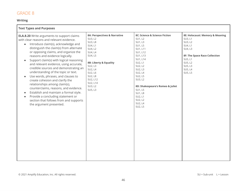#### **Writing**

| <b>Text Types and Purposes</b>                                                                                                                                                                                                                                                                                                                                                                                                                                                                                                                                                                                                                                                                                                                                                                           |                                                                                                                                                                                                                           |                                                                                                                                                                                                                                                                                        |                                                                                                                                                                            |
|----------------------------------------------------------------------------------------------------------------------------------------------------------------------------------------------------------------------------------------------------------------------------------------------------------------------------------------------------------------------------------------------------------------------------------------------------------------------------------------------------------------------------------------------------------------------------------------------------------------------------------------------------------------------------------------------------------------------------------------------------------------------------------------------------------|---------------------------------------------------------------------------------------------------------------------------------------------------------------------------------------------------------------------------|----------------------------------------------------------------------------------------------------------------------------------------------------------------------------------------------------------------------------------------------------------------------------------------|----------------------------------------------------------------------------------------------------------------------------------------------------------------------------|
| <b>ELA.8.20</b> Write arguments to support claims<br>with clear reasons and relevant evidence.<br>Introduce claim(s), acknowledge and<br>$\bullet$<br>distinguish the claim(s) from alternate<br>or opposing claims, and organize the<br>reasons and evidence logically.<br>Support claim(s) with logical reasoning<br>$\bullet$<br>and relevant evidence, using accurate,<br>credible sources and demonstrating an<br>understanding of the topic or text.<br>Use words, phrases, and clauses to<br>$\bullet$<br>create cohesion and clarify the<br>relationships among claim(s),<br>counterclaims, reasons, and evidence.<br>Establish and maintain a formal style.<br>$\bullet$<br>Provide a concluding statement or<br>$\bullet$<br>section that follows from and supports<br>the argument presented. | 8A: Perspectives & Narrative<br>SU3, L2<br>SU3, L8<br>SU4, L1<br>SU4, L2<br>SU4, L4<br>SU4, L5<br>8B: Liberty & Equality<br>SU2, L3<br>SU2, L4<br>SU2, L6<br><b>SU2, L8</b><br>SU2, L12<br>SU2, L14<br>SU3, L2<br>SU5, L3 | 8C: Science & Science Fiction<br>SU1, L2<br>SU1, L3<br>SU1, L5<br>SU1, L11<br>SU1, L12<br>SU1, L13<br>SU1, L14<br>SU2, L1<br>SU2, L2<br>SU2, L3<br>SU2, L4<br>SU2, L5<br>SU3, L2<br>8D: Shakespeare's Romeo & Juliet<br>SU1, L5<br>SU1, L8<br>SU2, L1<br>SU2, L2<br>SU2, L4<br>SU2, L5 | 8E: Holocaust: Memory & Meaning<br>SU3, L1<br>SU3, L2<br>SU4, L1<br>SU4, L3<br><b>8F: The Space Race Collection</b><br>SU5, L1<br>SU5, L2<br>SU5, L3<br>SU5, L4<br>SU5, L5 |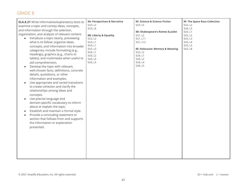| <b>ELA.8.21</b> Write informative/explanatory texts to | 8A: Perspectives & Narrative | 8C: Science & Science Fiction    | <b>8F: The Space Race Collection</b> |
|--------------------------------------------------------|------------------------------|----------------------------------|--------------------------------------|
| examine a topic and convey ideas, concepts,            | SU3, L2                      | SU3, L5                          | SU3, L2                              |
| and information through the selection,                 | SU3, L6                      |                                  | SU4, L3                              |
| organization, and analysis of relevant content.        |                              | 8D: Shakespeare's Romeo & Juliet | SU5, L1                              |
|                                                        | 8B: Liberty & Equality       | SU1, L2                          | SU5, L2                              |
| Introduce a topic clearly, previewing<br>$\bullet$     | SU2, L2                      | SU1, L11                         | SU5, L3                              |
| what is to follow; organize ideas,                     | SU3, L1                      | SU1, L12                         | SU5, L4                              |
| concepts, and information into broader                 | SU4, L1                      |                                  | SU5, L5                              |
| categories; include formatting (e.g.,                  | SU5, L3                      | 8E: Holocaust: Memory & Meaning  | SU5, L8                              |
| headings), graphics (e.g., charts or                   | SU6, L1                      | SU2, L2                          |                                      |
| tables), and multimedia when useful to                 | SU6, L2<br>SU6, L4           | SU6, L1                          |                                      |
|                                                        |                              | SU6, L2                          |                                      |
| aid comprehension.                                     | SU6, L5                      | SU6, L4<br>SU6, L5               |                                      |
| Develop the topic with relevant,                       |                              |                                  |                                      |
| well-chosen facts, definitions, concrete               |                              |                                  |                                      |
| details, quotations, or other                          |                              |                                  |                                      |
| information and examples.                              |                              |                                  |                                      |
| Use appropriate and varied transitions                 |                              |                                  |                                      |
| to create cohesion and clarify the                     |                              |                                  |                                      |
| relationships among ideas and                          |                              |                                  |                                      |
|                                                        |                              |                                  |                                      |
| concepts.                                              |                              |                                  |                                      |
| Use precise language and                               |                              |                                  |                                      |
| domain-specific vocabulary to inform                   |                              |                                  |                                      |
| about or explain the topic.                            |                              |                                  |                                      |
| Establish and maintain a formal style.<br>$\bullet$    |                              |                                  |                                      |
| Provide a concluding statement or<br>$\bullet$         |                              |                                  |                                      |
| section that follows from and supports                 |                              |                                  |                                      |
|                                                        |                              |                                  |                                      |
| the information or explanation                         |                              |                                  |                                      |
| presented.                                             |                              |                                  |                                      |
|                                                        |                              |                                  |                                      |
|                                                        |                              |                                  |                                      |
|                                                        |                              |                                  |                                      |
|                                                        |                              |                                  |                                      |
|                                                        |                              |                                  |                                      |
|                                                        |                              |                                  |                                      |
|                                                        |                              |                                  |                                      |
|                                                        |                              |                                  |                                      |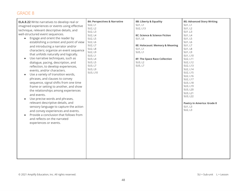| <b>ELA.8.22</b> Write narratives to develop real or | 8A: Perspectives & Narrative | 8B: Liberty & Equality               | <b>8G: Advanced Story Writing</b> |
|-----------------------------------------------------|------------------------------|--------------------------------------|-----------------------------------|
| imagined experiences or events using effective      | SU2, L1                      | SU1, L1                              | SU1, L1                           |
| technique, relevant descriptive details, and        | SU2, L2                      | SU2, L13                             | SU1, L2                           |
| well-structured event sequences.                    | SU2, L3                      |                                      | SU1, L3                           |
|                                                     | SU2, L4                      | 8C: Science & Science Fiction        | <b>SU1, L4</b>                    |
| Engage and orient the reader by<br>$\bullet$        | SU2, L5                      | SU1, L6                              | SU1, L5                           |
| establishing a context and point of view            | SU2, L6                      |                                      | SU1, L6                           |
| and introducing a narrator and/or                   | SU2, L7                      | 8E: Holocaust: Memory & Meaning      | SU1, L7                           |
| characters; organize an event sequence              | <b>SU2, L8</b>               | SU1, L1                              | <b>SU1, L8</b>                    |
| that unfolds naturally and logically.               | SU2, L9                      | SU5, L1                              | SU1, L9                           |
| Use narrative techniques, such as                   | SU3, L1<br>SU3, L4           | <b>8F: The Space Race Collection</b> | SU1, L10<br>SU2, L11              |
|                                                     | SU3, L5                      | SU3, L2                              | SU2, L12                          |
| dialogue, pacing, description, and                  | SU3, L7                      | SU5, L7                              | SU2, L13                          |
| reflection, to develop experiences,                 | SU3, L9                      |                                      | SU2, L14                          |
| events, and/or characters.                          | SU3, L10                     |                                      | SU2, L15                          |
| Use a variety of transition words,                  |                              |                                      | SU2, L16                          |
| phrases, and clauses to convey                      |                              |                                      | SU2, L17                          |
| sequence, signal shifts from one time               |                              |                                      | SU3, L18                          |
| frame or setting to another, and show               |                              |                                      | SU3, L19                          |
| the relationships among experiences                 |                              |                                      | SU3, L20                          |
|                                                     |                              |                                      | SU3, L21                          |
| and events.                                         |                              |                                      | SU3, L22                          |
| Use precise words and phrases,                      |                              |                                      |                                   |
| relevant descriptive details, and                   |                              |                                      | <b>Poetry in America: Grade 8</b> |
| sensory language to capture the action              |                              |                                      | SU1, L3                           |
| and convey experiences and events.                  |                              |                                      | SU2, L3                           |
| Provide a conclusion that follows from              |                              |                                      |                                   |
| and reflects on the narrated                        |                              |                                      |                                   |
|                                                     |                              |                                      |                                   |
| experiences or events.                              |                              |                                      |                                   |
|                                                     |                              |                                      |                                   |
|                                                     |                              |                                      |                                   |
|                                                     |                              |                                      |                                   |
|                                                     |                              |                                      |                                   |
|                                                     |                              |                                      |                                   |
|                                                     |                              |                                      |                                   |
|                                                     |                              |                                      |                                   |
|                                                     |                              |                                      |                                   |
|                                                     |                              |                                      |                                   |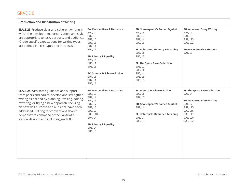| <b>Production and Distribution of Writing</b>                                                                                                                                                                                                                                                                                                                                       |                                                                                                                                                                                                                                    |                                                                                                                                                                                                                                      |                                                                                                                                                             |
|-------------------------------------------------------------------------------------------------------------------------------------------------------------------------------------------------------------------------------------------------------------------------------------------------------------------------------------------------------------------------------------|------------------------------------------------------------------------------------------------------------------------------------------------------------------------------------------------------------------------------------|--------------------------------------------------------------------------------------------------------------------------------------------------------------------------------------------------------------------------------------|-------------------------------------------------------------------------------------------------------------------------------------------------------------|
| <b>ELA.8.23</b> Produce clear and coherent writing in<br>which the development, organization, and style<br>are appropriate to task, purpose, and audience.<br>(Grade-specific expectations for writing types<br>are defined in Text Types and Purposes.)                                                                                                                            | 8A: Perspectives & Narrative<br>SU2, L4<br>SU2, L5<br>SU2, L6<br>SU3, L5<br>SU4, L1<br>SU4, L5<br>8B: Liberty & Equality<br>SU1, L1<br>SU6, L1<br>SU6, L5<br>8C: Science & Science Fiction<br><b>SU1, L8</b><br>SU2, L1<br>SU2, L5 | 8D: Shakespeare's Romeo & Juliet<br>SU2, L1<br>SU2, L2<br>SU2, L4<br>SU2, L5<br>8E: Holocaust: Memory & Meaning<br>SU6, L1<br>SU6, L5<br><b>8F: The Space Race Collection</b><br>SU3, L2<br>SU5, L1<br>SU5, L4<br>SU5, L5<br>SU5, L6 | <b>8G: Advanced Story Writing</b><br>SU1, L2<br>SU1, L6<br>SU2, L13<br>SU3, L22<br><b>Poetry in America: Grade 8</b><br>SU1, L3                             |
| <b>ELA.8.24</b> With some guidance and support<br>from peers and adults, develop and strengthen<br>writing as needed by planning, revising, editing,<br>rewriting, or trying a new approach, focusing<br>on how well purpose and audience have been<br>addressed. (Editing for conventions should<br>demonstrate command of the Language<br>standards up to and including grade 8.) | 8A: Perspectives & Narrative<br>SU2, L2<br>SU2, L4<br>SU2, L6<br>SU2, L7<br>SU2, L8<br>SU2, L9<br>SU3, L10<br>SU4, L4<br>8B: Liberty & Equality<br>SU6, L4<br>SU6, L5                                                              | 8C: Science & Science Fiction<br>SU2, L1<br>SU2, L5<br>8D: Shakespeare's Romeo & Juliet<br>SU2, L4<br>8E: Holocaust: Memory & Meaning<br>SU6, L4<br>SU6, L5                                                                          | <b>8F: The Space Race Collection</b><br>SU5, L4<br><b>8G: Advanced Story Writing</b><br>SU1, L7<br>SU2, L15<br>SU2, L16<br>SU2, L17<br>SU3, L20<br>SU3, L22 |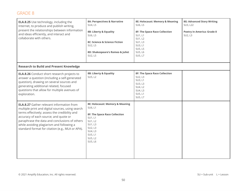| <b>ELA.8.25</b> Use technology, including the<br>Internet, to produce and publish writing,<br>present the relationships between information<br>and ideas efficiently, and interact and<br>collaborate with others.                                                                                                                               | 8A: Perspectives & Narrative<br>SU4, L5<br>8B: Liberty & Equality<br>SU6, L5<br>8C: Science & Science Fiction<br>SU2, L5<br>8D: Shakespeare's Romeo & Juliet<br>SU2, L5    | 8E: Holocaust: Memory & Meaning<br>SU6, L5<br><b>8F: The Space Race Collection</b><br>SU1, L1<br>SU1, L2<br>SU1, L3<br>SU3, L1<br>SU5, L5<br>SU5, L6<br>SU5, L7 | <b>8G: Advanced Story Writing</b><br>SU3, L22<br><b>Poetry in America: Grade 8</b><br>SU2, L3 |
|--------------------------------------------------------------------------------------------------------------------------------------------------------------------------------------------------------------------------------------------------------------------------------------------------------------------------------------------------|----------------------------------------------------------------------------------------------------------------------------------------------------------------------------|-----------------------------------------------------------------------------------------------------------------------------------------------------------------|-----------------------------------------------------------------------------------------------|
| <b>Research to Build and Present Knowledge</b>                                                                                                                                                                                                                                                                                                   |                                                                                                                                                                            |                                                                                                                                                                 |                                                                                               |
| <b>ELA.8.26</b> Conduct short research projects to<br>answer a question (including a self-generated<br>question), drawing on several sources and<br>generating additional related, focused<br>questions that allow for multiple avenues of<br>exploration.                                                                                       | 8B: Liberty & Equality<br>SU5, L2                                                                                                                                          | <b>8F: The Space Race Collection</b><br>SU2, L3<br>SU3, L1<br>SU3, L3<br>SU4, L2<br>SU4, L3<br>SU5, L1<br>SU5, L7                                               |                                                                                               |
| <b>ELA.8.27</b> Gather relevant information from<br>multiple print and digital sources, using search<br>terms effectively; assess the credibility and<br>accuracy of each source; and quote or<br>paraphrase the data and conclusions of others<br>while avoiding plagiarism and following a<br>standard format for citation (e.g., MLA or APA). | 8E: Holocaust: Memory & Meaning<br>SU6, L1<br><b>8F: The Space Race Collection</b><br>SU1, L1<br>SU1, L2<br>SU1, L3<br>SU2, L3<br>SU4, L3<br>SU5, L1<br>SU5, L2<br>SU5, L6 |                                                                                                                                                                 |                                                                                               |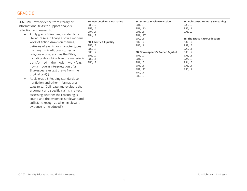| informational texts to support analysis,<br>reflection, and research.<br>Apply grade 8 Reading standards to<br>$\bullet$<br>literature (e.g., "Analyze how a modern<br>work of fiction draws on themes,<br>patterns of events, or character types<br>from myths, traditional stories, or<br>religious works, such as the Bible,<br>including describing how the material is<br>transformed in the modern work (e.g.,<br>how a modern interpretation of a<br>Shakespearean text draws from the<br>original text)").<br>Apply grade 8 Reading standards to<br>nonfiction and other informational<br>texts (e.g., "Delineate and evaluate the<br>argument and specific claims in a text,<br>assessing whether the reasoning is<br>sound and the evidence is relevant and<br>sufficient; recognize when irrelevant<br>evidence is introduced"). | SU3, L2<br>SU3, L6<br>SU4, L1<br>SU4, L2<br>8B: Liberty & Equality<br>SU2, L2<br>SU2, L6<br>SU3, L2<br>SU5, L2<br>SU6, L1<br>SU6, L2 | SU1, L5<br>SU1, L13<br>SU1, L14<br>SU1, L17<br>SU2, L1<br>SU2, L2<br>SU3, L1<br>8D: Shakespeare's Romeo & Juliet<br>SU1, L2<br>SU1, L5<br>SU1, L8<br>SU1, L11<br>SU1, L12<br>SU2, L1<br>SU2, L2 | SU3, L2<br>SU6, L1<br>SU6, L2<br><b>8F: The Space Race Collection</b><br>SU2, L2<br>SU2, L3<br>SU3, L1<br>SU3, L2<br>SU3, L3<br>SU4, L2<br>SU4, L3<br>SU5, L1<br>SU5, L2 |
|---------------------------------------------------------------------------------------------------------------------------------------------------------------------------------------------------------------------------------------------------------------------------------------------------------------------------------------------------------------------------------------------------------------------------------------------------------------------------------------------------------------------------------------------------------------------------------------------------------------------------------------------------------------------------------------------------------------------------------------------------------------------------------------------------------------------------------------------|--------------------------------------------------------------------------------------------------------------------------------------|-------------------------------------------------------------------------------------------------------------------------------------------------------------------------------------------------|--------------------------------------------------------------------------------------------------------------------------------------------------------------------------|
|                                                                                                                                                                                                                                                                                                                                                                                                                                                                                                                                                                                                                                                                                                                                                                                                                                             |                                                                                                                                      |                                                                                                                                                                                                 |                                                                                                                                                                          |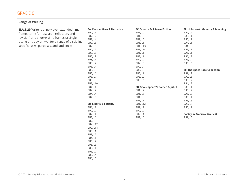| <b>Range of Writing</b>                             |                              |                                  |                                      |
|-----------------------------------------------------|------------------------------|----------------------------------|--------------------------------------|
| <b>ELA.8.29</b> Write routinely over extended time  | 8A: Perspectives & Narrative | 8C: Science & Science Fiction    | 8E: Holocaust: Memory & Meaning      |
| frames (time for research, reflection, and          | SU2, L1                      | SU1, L2                          | SU2, L2                              |
|                                                     | SU2, L2                      | SU1, L5                          | SU3, L1                              |
| revision) and shorter time frames (a single         | SU2, L4                      | <b>SU1, L8</b>                   | SU3, L2                              |
| sitting or a day or two) for a range of discipline- | SU2, L5                      | SU1, L11                         | SU4, L1                              |
| specific tasks, purposes, and audiences.            | SU2, L6                      | SU1, L13                         | SU4, L3                              |
|                                                     | SU2, L7                      | SU1, L14                         | SU5, L1                              |
|                                                     | SU2, L8                      | SU1, L17                         | SU6, L1                              |
|                                                     | SU2, L9                      | SU2, L1                          | SU6, L2                              |
|                                                     | SU3, L1                      | SU2, L2                          | SU6, L4                              |
|                                                     | SU3, L2                      | SU2, L3                          | SU6, L5                              |
|                                                     | SU3, L4                      | SU2, L4                          |                                      |
|                                                     | SU3, L5                      | SU2, L5                          | <b>8F: The Space Race Collection</b> |
|                                                     | SU3, L6                      | SU3, L1                          | SU1, L2                              |
|                                                     | SU3, L7                      | SU3, L2                          | SU2, L3                              |
|                                                     | SU3, L8                      | SU3, L5                          | SU3, L2                              |
|                                                     | SU3, L10                     |                                  | SU4, L3                              |
|                                                     | SU4, L1                      | 8D: Shakespeare's Romeo & Juliet | SU5, L1                              |
|                                                     | SU4, L2                      | SU1, L2                          | SU5, L2                              |
|                                                     | SU4, L4                      | SU1, L5                          | SU5, L3                              |
|                                                     | SU4, L5                      | <b>SU1, L8</b>                   | SU5, L4                              |
|                                                     |                              | SU1, L11                         | SU5, L5                              |
|                                                     | 8B: Liberty & Equality       | SU1, L12                         | SU5, L6                              |
|                                                     | SU1, L1                      | SU2, L1                          | SU5, L7                              |
|                                                     | SU2, L2                      | SU2, L2                          |                                      |
|                                                     | SU2, L4                      | SU2, L4                          | <b>Poetry in America: Grade 8</b>    |
|                                                     | SU2, L6                      | SU2, L5                          | SU1, L3                              |
|                                                     | SU2, L8                      |                                  |                                      |
|                                                     | SU2, L12                     |                                  |                                      |
|                                                     | SU2, L14                     |                                  |                                      |
|                                                     | SU3, L1                      |                                  |                                      |
|                                                     | SU3, L2                      |                                  |                                      |
|                                                     | SU4, L1                      |                                  |                                      |
|                                                     | SU5, L2                      |                                  |                                      |
|                                                     | SU5, L3                      |                                  |                                      |
|                                                     | SU6, L1                      |                                  |                                      |
|                                                     | SU6, L2                      |                                  |                                      |
|                                                     | SU6, L4                      |                                  |                                      |
|                                                     | SU6, L5                      |                                  |                                      |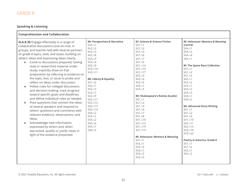#### **Speaking & Listening**

| <b>Comprehension and Collaboration</b>                                                                                                                                                                                                                                                                                                                                                                                                                                                                                                                                                                                                                                                                                                                                                                                                                                                                                                                                                                                        |                                                                                                                                                                                                                                                                                                                                      |                                                                                                                                                                                                                                                                                                                                                                                                                                                              |                                                                                                                                                                                                                                                                                                                                                                                                                                                                  |
|-------------------------------------------------------------------------------------------------------------------------------------------------------------------------------------------------------------------------------------------------------------------------------------------------------------------------------------------------------------------------------------------------------------------------------------------------------------------------------------------------------------------------------------------------------------------------------------------------------------------------------------------------------------------------------------------------------------------------------------------------------------------------------------------------------------------------------------------------------------------------------------------------------------------------------------------------------------------------------------------------------------------------------|--------------------------------------------------------------------------------------------------------------------------------------------------------------------------------------------------------------------------------------------------------------------------------------------------------------------------------------|--------------------------------------------------------------------------------------------------------------------------------------------------------------------------------------------------------------------------------------------------------------------------------------------------------------------------------------------------------------------------------------------------------------------------------------------------------------|------------------------------------------------------------------------------------------------------------------------------------------------------------------------------------------------------------------------------------------------------------------------------------------------------------------------------------------------------------------------------------------------------------------------------------------------------------------|
| <b>ELA.8.30</b> Engage effectively in a range of<br>collaborative discussions (one-on-one, in<br>groups, and teacher-led) with diverse partners<br>on grade 8 topics, texts, and issues, building on<br>others' ideas and expressing ideas clearly.<br>Come to discussions prepared, having<br>read or researched material under<br>study; explicitly draw on that<br>preparation by referring to evidence on<br>the topic, text, or issue to probe and<br>reflect on ideas under discussion.<br>Follow rules for collegial discussions<br>$\bullet$<br>and decision-making, track progress<br>toward specific goals and deadlines,<br>and define individual roles as needed.<br>Pose questions that connect the ideas<br>$\bullet$<br>of several speakers and respond to<br>others' questions and comments with<br>relevant evidence, observations, and<br>ideas.<br>Acknowledge new information<br>$\bullet$<br>expressed by others and, when<br>warranted, qualify or justify views in<br>light of the evidence presented. | 8A: Perspectives & Narrative<br>SU2, L1<br>SU2, L2<br>SU2, L3<br>SU2, L8<br>SU3, L3<br>SU3, L4<br>SU3, L9<br>SU3, L10<br>SU3, L11<br>8B: Liberty & Equality<br>SU1, L2<br>SU2, L1<br>SU2, L3<br>SU2, L7<br>SU2, L9<br>SU2, L11<br>SU2, L12<br>SU2, L13<br>SU2, L14<br>SU4, L2<br>SU5, L1<br>SU5, L2<br>SU5, L4<br>SU6, L1<br>SU6, L5 | 8C: Science & Science Fiction<br>SU1, L1<br>SU1, L2<br>SU1, L3<br>SU1, L6<br>SU1, L7<br>SU1, L9<br>SU1, L12<br>SU1, L15<br>SU1, L17<br>SU2, L3<br>SU2, L4<br>SU2, L5<br>SU3, L1<br>SU3, L5<br>8D: Shakespeare's Romeo & Juliet<br>SU1, L1<br>SU1, L2<br>SU1, L3<br>SU1, L4<br>SU1, L7<br><b>SU1, L8</b><br>SU1, L10<br>SU1, L12<br>SU1, L14<br>SU1, L15<br>8E: Holocaust: Memory & Meaning<br>SU1, L1<br>SU2, L1<br>SU2, L4<br>SU3, L1<br>SU3, L2<br>SU3, L3 | 8E: Holocaust: Memory & Meaning<br>(cont'd)<br>SU4, L1<br>SU4, L2<br>SU4, L4<br>SU5, L1<br><b>8F: The Space Race Collection</b><br>SU1, L1<br>SU1, L2<br>SU1, L3<br>SU2, L1<br>SU2, L2<br>SU3, L1<br>SU3, L2<br>SU3, L3<br>SU4, L1<br>SU4, L2<br><b>8G: Advanced Story Writing</b><br>SU1, L1<br>SU1, L2<br>SU1, L6<br>SU1, L10<br>SU2, L11<br>SU2, L12<br>SU3, L19<br>SU3, L22<br><b>Poetry in America: Grade 8</b><br>SU1, L1<br>SU1, L2<br>SU2, L1<br>SU2, L2 |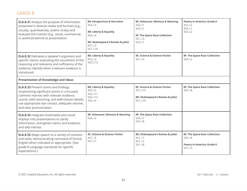| <b>ELA.8.31</b> Analyze the purpose of information<br>presented in diverse media and formats (e.g.,<br>visually, quantitatively, and/or orally) and<br>evaluate the motives (e.g., social, commercial,<br>or political) behind its presentation.                         | 8A: Perspectives & Narrative<br>SU2, L3<br>8B: Liberty & Equality<br>SU5, L4<br>8D: Shakespeare's Romeo & Juliet<br>SU1, L3<br>SU1, L10 | 8E: Holocaust: Memory & Meaning<br>SU2, L1<br>SU3, L1<br>8F: The Space Race Collection<br>SU1, L3<br>SU2, L1 | <b>Poetry in America: Grade 8</b><br>SU1, L2<br>SU2, L1<br>SU2, L2                                     |  |
|--------------------------------------------------------------------------------------------------------------------------------------------------------------------------------------------------------------------------------------------------------------------------|-----------------------------------------------------------------------------------------------------------------------------------------|--------------------------------------------------------------------------------------------------------------|--------------------------------------------------------------------------------------------------------|--|
| <b>ELA.8.32</b> Delineate a speaker's argument and<br>specific claims, evaluating the soundness of the<br>reasoning and relevance and sufficiency of the<br>evidence; identify when irrelevant evidence is<br>introduced.                                                | 8B: Liberty & Equality<br>SU2, L3<br>SU2, L12                                                                                           | 8C: Science & Science Fiction<br>SU1, L9                                                                     | <b>8F: The Space Race Collection</b><br>SU4, L2                                                        |  |
| <b>Presentation of Knowledge and Ideas</b>                                                                                                                                                                                                                               |                                                                                                                                         |                                                                                                              |                                                                                                        |  |
| <b>ELA.8.33</b> Present claims and findings,<br>emphasizing significant points in a focused,<br>coherent manner with relevant evidence,<br>sound, valid reasoning, and well-chosen details;<br>use appropriate eye contact, adequate volume,<br>and clear pronunciation. | 8B: Liberty & Equality<br>SU2, L3<br>SU2, L11<br>SU2, L12<br>SU5, L4                                                                    | 8C: Science & Science Fiction<br>SU1, L15<br>8D: Shakespeare's Romeo & Juliet<br>SU1, L10                    | <b>8F: The Space Race Collection</b><br><b>SU5, L8</b>                                                 |  |
| <b>ELA.8.34</b> Integrate multimedia and visual<br>displays into presentations to clarify<br>information, strengthen claims and evidence,<br>and add interest.                                                                                                           | 8E: Holocaust: Memory & Meaning<br>SU4, L2                                                                                              | <b>8F: The Space Race Collection</b><br>SU5, L7<br>SU5, L8                                                   |                                                                                                        |  |
| <b>ELA.8.35</b> Adapt speech to a variety of contexts<br>and tasks, demonstrating command of formal<br>English when indicated or appropriate. (See<br>grade 8 Language standards for specific<br>expectations.)                                                          | 8C: Science & Science Fiction<br>SU1, L5<br>SU1, L7                                                                                     | 8D: Shakespeare's Romeo & Juliet<br>SU1, L1<br>SU1, L2<br><b>SU1, L8</b>                                     | <b>8F: The Space Race Collection</b><br><b>SU5, L8</b><br><b>Poetry in America: Grade 8</b><br>SU1, L3 |  |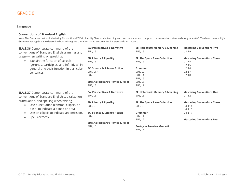#### **Language**

#### **Conventions of Standard English**

Note: The Grammar unit and Mastering Conventions PDFs in Amplify ELA contain teaching and practice materials to support the conventions standards for grades 6–8. Teachers use Amplify's Grammar Pacing Guide to determine how to integrate these lessons to ensure effective standards instruction.

| <b>ELA.8.36</b> Demonstrate command of the<br>conventions of Standard English grammar and<br>usage when writing or speaking.<br>Explain the function of verbals<br>(gerunds, participles, and infinitives) in<br>general and their function in particular<br>sentences.                              | 8A: Perspectives & Narrative<br>SU4, L5<br>8B: Liberty & Equality<br>SU6, L5<br>8C: Science & Science Fiction<br>SU1, L17<br>SU2, L5<br>8D: Shakespeare's Romeo & Juliet<br>SU2, L5 | 8E: Holocaust: Memory & Meaning<br>SU6, L5<br><b>8F: The Space Race Collection</b><br>SU5, L6<br>Grammar<br>SU1, L2<br>SU1, L4<br>SU1, L6<br><b>SU1, L8</b><br>SU5, L1         | <b>Mastering Conventions Two</b><br>U2, L9<br><b>Mastering Conventions Three</b><br>U1, L4<br>U2, L5<br>U2, L6<br>U2, L7<br>U2, L8                     |
|------------------------------------------------------------------------------------------------------------------------------------------------------------------------------------------------------------------------------------------------------------------------------------------------------|-------------------------------------------------------------------------------------------------------------------------------------------------------------------------------------|--------------------------------------------------------------------------------------------------------------------------------------------------------------------------------|--------------------------------------------------------------------------------------------------------------------------------------------------------|
| <b>ELA.8.37</b> Demonstrate command of the<br>conventions of Standard English capitalization,<br>punctuation, and spelling when writing.<br>Use punctuation (comma, ellipsis, or<br>$\bullet$<br>dash) to indicate a pause or break.<br>Use an ellipsis to indicate an omission.<br>Spell correctly. | 8A: Perspectives & Narrative<br>SU4, L5<br>8B: Liberty & Equality<br>SU6, L5<br>8C: Science & Science Fiction<br>SU2, L5<br>8D: Shakespeare's Romeo & Juliet<br>SU2, L5             | 8E: Holocaust: Memory & Meaning<br>SU6, L5<br><b>8F: The Space Race Collection</b><br>SU5, L5<br>Grammar<br>SU7, L1<br>SU7, L2<br><b>Poetry in America: Grade 8</b><br>SU1, L1 | <b>Mastering Conventions One</b><br>U1, L2<br><b>Mastering Conventions Three</b><br>U4, L14<br>U4, L15<br>U4, L17<br><b>Mastering Conventions Four</b> |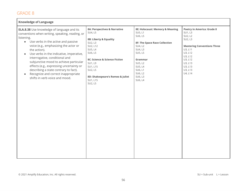| <b>Knowledge of Language</b>                                                                                                                                                                                                                                                                                                                                                                                                                                                                                                                    |                                                                                                                                                                                                                                              |                                                                                                                                                                                                             |                                                                                                                                                                                                  |
|-------------------------------------------------------------------------------------------------------------------------------------------------------------------------------------------------------------------------------------------------------------------------------------------------------------------------------------------------------------------------------------------------------------------------------------------------------------------------------------------------------------------------------------------------|----------------------------------------------------------------------------------------------------------------------------------------------------------------------------------------------------------------------------------------------|-------------------------------------------------------------------------------------------------------------------------------------------------------------------------------------------------------------|--------------------------------------------------------------------------------------------------------------------------------------------------------------------------------------------------|
| <b>ELA.8.38</b> Use knowledge of language and its<br>conventions when writing, speaking, reading, or<br>listening.<br>Use verbs in the active and passive<br>$\bullet$<br>voice (e.g., emphasizing the actor or<br>the action).<br>Use verbs in the indicative, imperative,<br>$\bullet$<br>interrogative, conditional and<br>subjunctive mood to achieve particular<br>effects (e.g., expressing uncertainty or<br>describing a state contrary to fact).<br>Recognize and correct inappropriate<br>$\bullet$<br>shifts in verb voice and mood. | 8A: Perspectives & Narrative<br>SU4, L5<br>8B: Liberty & Equality<br>SU2, L3<br>SU2, L12<br>SU5, L4<br>SU6, L5<br>8C: Science & Science Fiction<br>SU1, L9<br>SU1, L15<br>SU2, L5<br>8D: Shakespeare's Romeo & Juliet<br>SU1, L15<br>SU2, L5 | 8E: Holocaust: Memory & Meaning<br>SU5, L1<br>SU6, L5<br><b>8F: The Space Race Collection</b><br>SU4, L2<br>SU4, L3<br>SU5, L5<br>Grammar<br>SU5, L2<br>SU5, L4<br>SU6, L1<br>SU6, L2<br>SU6, L3<br>SU6, L4 | <b>Poetry in America: Grade 8</b><br>SU1, L3<br>SU2, L2<br>SU2, L3<br><b>Mastering Conventions Three</b><br>U3, L11<br>U3, L12<br>U3, L12<br>U3, L12<br>U3, L13<br>U3, L13<br>U3, L13<br>U4, L14 |
|                                                                                                                                                                                                                                                                                                                                                                                                                                                                                                                                                 |                                                                                                                                                                                                                                              |                                                                                                                                                                                                             |                                                                                                                                                                                                  |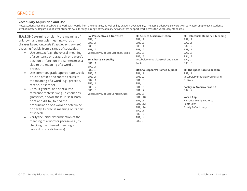#### **Vocabulary Acquisition and Use**

Note: Students use the Vocab App to work with words from the unit texts, as well as key academic vocabulary. The app is adaptive, so words will vary according to each student's level of mastery. Regardless of level, students cycle through a range of vocabulary activities that support work across the vocabulary standards. 

| <b>ELA.8.39</b> Determine or clarify the meaning of                                                                                                                                                                                                                                                                                                                                                                                                                                                                                                                                                        | 8A: Perspectives & Narrative                                                                       | 8C: Science & Science Fiction                                                                                                                                                | 8E: Holocaust: Memory & Meaning                                                                                                                                                                      |
|------------------------------------------------------------------------------------------------------------------------------------------------------------------------------------------------------------------------------------------------------------------------------------------------------------------------------------------------------------------------------------------------------------------------------------------------------------------------------------------------------------------------------------------------------------------------------------------------------------|----------------------------------------------------------------------------------------------------|------------------------------------------------------------------------------------------------------------------------------------------------------------------------------|------------------------------------------------------------------------------------------------------------------------------------------------------------------------------------------------------|
| unknown and multiple-meaning words or                                                                                                                                                                                                                                                                                                                                                                                                                                                                                                                                                                      | SU2, L5                                                                                            | SU1, L1                                                                                                                                                                      | SU1, L1                                                                                                                                                                                              |
| phrases based on grade 8 reading and content,                                                                                                                                                                                                                                                                                                                                                                                                                                                                                                                                                              | SU3, L1                                                                                            | SU1, L3                                                                                                                                                                      | SU2, L1                                                                                                                                                                                              |
| choosing flexibly from a range of strategies.                                                                                                                                                                                                                                                                                                                                                                                                                                                                                                                                                              | SU3, L5                                                                                            | SU3, L1                                                                                                                                                                      | SU2, L2                                                                                                                                                                                              |
| Use context (e.g., the overall meaning                                                                                                                                                                                                                                                                                                                                                                                                                                                                                                                                                                     | SU3, L7                                                                                            | SU3, L2                                                                                                                                                                      | SU3, L1                                                                                                                                                                                              |
| $\bullet$                                                                                                                                                                                                                                                                                                                                                                                                                                                                                                                                                                                                  | Vocabulary Module: Dictionary Skills                                                               | SU3, L3                                                                                                                                                                      | SU3, L3                                                                                                                                                                                              |
| of a sentence or paragraph or a word's                                                                                                                                                                                                                                                                                                                                                                                                                                                                                                                                                                     | 8B: Liberty & Equality                                                                             | SU3, L5                                                                                                                                                                      | SU4, L2                                                                                                                                                                                              |
| position or function in a sentence) as a                                                                                                                                                                                                                                                                                                                                                                                                                                                                                                                                                                   | SU1, L1                                                                                            | Vocabulary Module: Greek and Latin                                                                                                                                           | SU4, L4                                                                                                                                                                                              |
| clue to the meaning of a word or                                                                                                                                                                                                                                                                                                                                                                                                                                                                                                                                                                           | SU2, L1                                                                                            | Roots                                                                                                                                                                        | SU6, L5                                                                                                                                                                                              |
| phrase.                                                                                                                                                                                                                                                                                                                                                                                                                                                                                                                                                                                                    | SU2, L6                                                                                            | 8D: Shakespeare's Romeo & Juliet                                                                                                                                             | <b>8F: The Space Race Collection</b>                                                                                                                                                                 |
| Use common, grade-appropriate Greek<br>$\bullet$<br>or Latin affixes and roots as clues to<br>the meaning of a word (e.g., precede,<br>recede, or secede).<br>Consult general and specialized<br>$\bullet$<br>reference materials (e.g., dictionaries,<br>glossaries, and/or thesauruses), both<br>print and digital, to find the<br>pronunciation of a word or determine<br>or clarify its precise meaning or its part<br>of speech.<br>Verify the initial determination of the<br>$\bullet$<br>meaning of a word or phrase (e.g., by<br>checking the inferred meaning in<br>context or in a dictionary). | SU2, L8<br>SU3, L1<br>SU4, L1<br>SU5, L1<br>SU5, L2<br>SU6, L5<br>Vocabulary Module: Context Clues | SU1, L1<br>SU1, L2<br>SU1, L3<br>SU1, L4<br>SU1, L5<br>SU1, L7<br><b>SU1, L8</b><br>SU1, L10<br>SU1, L11<br>SU1, L12<br>SU1, L14<br>SU2, L1<br>SU2, L2<br>SU2, L4<br>SU2, L5 | SU2, L1<br>Vocabulary Module: Prefixes and<br>Suffixes<br><b>Poetry in America Grade 8</b><br>SU2, L2<br><b>Vocab App</b><br>Narrative Multiple Choice<br>Roots Exist<br><b>Totally ReDictionary</b> |